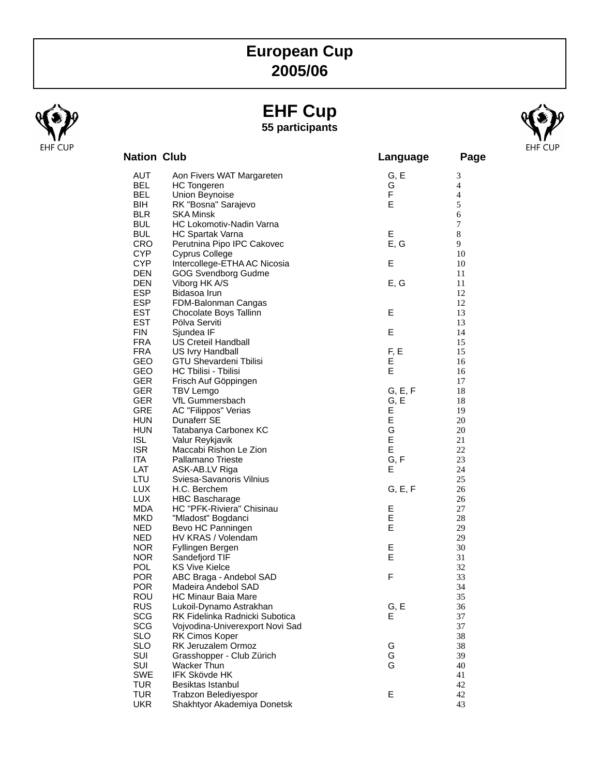## **European Cup 2005/06**

## **EHF Cup 55 participants**



| <b>Nation Club</b>       |                                                 | Language | Page           |
|--------------------------|-------------------------------------------------|----------|----------------|
| AUT                      | Aon Fivers WAT Margareten                       | G, E     | 3              |
| <b>BEL</b>               | <b>HC</b> Tongeren                              | G        | $\overline{4}$ |
| BEL                      | Union Beynoise                                  | F        | $\overline{4}$ |
| BIH                      | RK "Bosna" Sarajevo                             | E        | 5              |
| <b>BLR</b>               | <b>SKA Minsk</b>                                |          | 6              |
| <b>BUL</b>               | HC Lokomotiv-Nadin Varna                        |          | $\tau$         |
| <b>BUL</b>               | HC Spartak Varna                                | E        | $8\,$          |
| <b>CRO</b>               | Perutnina Pipo IPC Cakovec                      | E, G     | 9              |
| <b>CYP</b>               | <b>Cyprus College</b>                           | E        | 10             |
| <b>CYP</b><br><b>DEN</b> | Intercollege-ETHA AC Nicosia                    |          | 10             |
| <b>DEN</b>               | <b>GOG Svendborg Gudme</b><br>Viborg HK A/S     | E, G     | 11<br>11       |
| <b>ESP</b>               | Bidasoa Irun                                    |          | 12             |
| <b>ESP</b>               | FDM-Balonman Cangas                             |          | 12             |
| <b>EST</b>               | Chocolate Boys Tallinn                          | Е        | 13             |
| <b>EST</b>               | Pölva Serviti                                   |          | 13             |
| <b>FIN</b>               | Sjundea IF                                      | E        | 14             |
| <b>FRA</b>               | <b>US Creteil Handball</b>                      |          | 15             |
| <b>FRA</b>               | US Ivry Handball                                | F, E     | 15             |
| <b>GEO</b>               | <b>GTU Shevardeni Tbilisi</b>                   | E        | 16             |
| GEO                      | HC Tbilisi - Tbilisi                            | E        | 16             |
| <b>GER</b>               | Frisch Auf Göppingen                            |          | 17             |
| <b>GER</b>               | <b>TBV Lemgo</b>                                | G, E, F  | 18             |
| GER                      | VfL Gummersbach                                 | G, E     | 18             |
| <b>GRE</b>               | <b>AC "Filippos" Verias</b>                     | E        | 19             |
| <b>HUN</b>               | Dunaferr SE                                     | E        | 20             |
| <b>HUN</b>               | Tatabanya Carbonex KC                           | G        | 20             |
| <b>ISL</b>               | Valur Reykjavik                                 | E        | 21             |
| <b>ISR</b>               | Maccabi Rishon Le Zion                          | E        | 22             |
| ITA                      | Pallamano Trieste                               | G, F     | 23             |
| LAT                      | ASK-AB.LV Riga                                  | Е        | 24             |
| <b>LTU</b>               | Sviesa-Savanoris Vilnius                        |          | 25             |
| <b>LUX</b>               | H.C. Berchem                                    | G, E, F  | 26             |
| <b>LUX</b>               | <b>HBC Bascharage</b>                           |          | 26             |
| MDA<br><b>MKD</b>        | HC "PFK-Riviera" Chisinau<br>"Mladost" Bogdanci | Е<br>E   | 27<br>28       |
| <b>NED</b>               | Bevo HC Panningen                               | E        | 29             |
| <b>NED</b>               | HV KRAS / Volendam                              |          | 29             |
| NOR.                     | Fyllingen Bergen                                | E        | 30             |
| <b>NOR</b>               | Sandefjord TIF                                  | E        | 31             |
| <b>POL</b>               | <b>KS Vive Kielce</b>                           |          | 32             |
| <b>POR</b>               | ABC Braga - Andebol SAD                         | F        | 33             |
| <b>POR</b>               | Madeira Andebol SAD                             |          | 34             |
| <b>ROU</b>               | <b>HC Minaur Baia Mare</b>                      |          | 35             |
| <b>RUS</b>               | Lukoil-Dynamo Astrakhan                         | G, E     | 36             |
| <b>SCG</b>               | RK Fidelinka Radnicki Subotica                  | Е        | 37             |
| <b>SCG</b>               | Vojvodina-Univerexport Novi Sad                 |          | 37             |
| <b>SLO</b>               | RK Cimos Koper                                  |          | 38             |
| <b>SLO</b>               | RK Jeruzalem Ormoz                              | G        | 38             |
| SUI                      | Grasshopper - Club Zürich                       | G        | 39             |
| SUI                      | <b>Wacker Thun</b>                              | G        | 40             |
| <b>SWE</b>               | <b>IFK Skövde HK</b>                            |          | 41             |
| <b>TUR</b>               | Besiktas Istanbul                               |          | 42             |
| <b>TUR</b>               | Trabzon Belediyespor                            | Е        | 42             |
| <b>UKR</b>               | Shakhtyor Akademiya Donetsk                     |          | 43             |

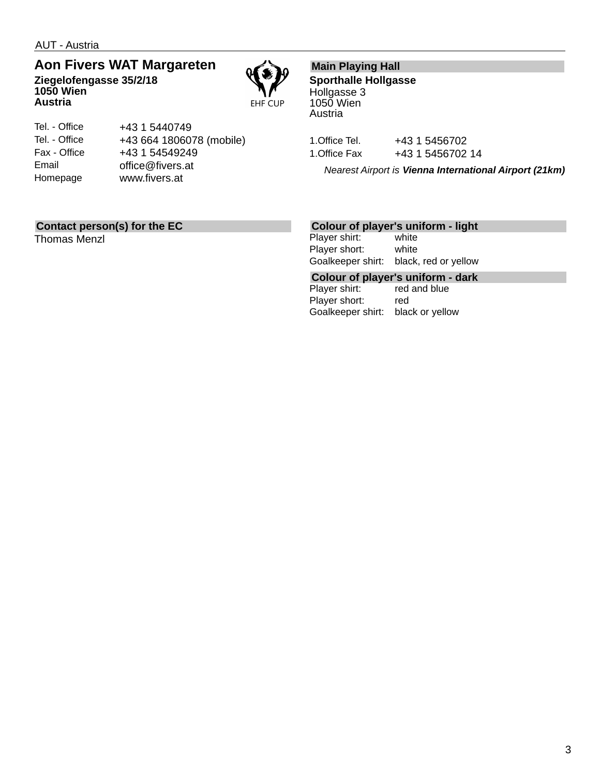AUT - Austria

**Austria**

## **Aon Fivers WAT Margareten Ziegelofengasse 35/2/18 1050 Wien**

**EHF CUP** 

| Tel. - Office | +43 1 5440749            |
|---------------|--------------------------|
| Tel. - Office | +43 664 1806078 (mobile) |
| Fax - Office  | +43 1 54549249           |
| Email         | office@fivers.at         |
| Homepage      | www.fivers.at            |
|               |                          |

## **Main Playing Hall**

**Sporthalle Hollgasse** Hollgasse 3 1050 Wien Austria

1. Office Tel. +43 1 5456702 1. Office Fax +43 1 5456702 14

*Nearest Airport is Vienna International Airport (21km)*

## **Contact person(s) for the EC**

Thomas Menzl

### **Colour of player's uniform - light**

Player shirt: white Player short: white Goalkeeper shirt: black, red or yellow

**Colour of player's uniform - dark** Player shirt: Player short: red

Goalkeeper shirt: black or yellow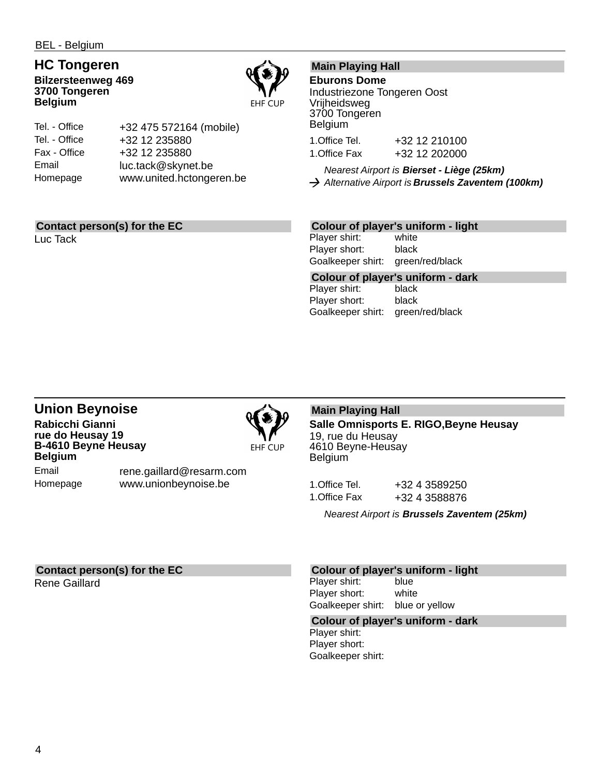## **HC Tongeren Bilzersteenweg 469**

**3700 Tongeren Belgium**



| Tel. - Office | +32 475 572164 (mobile)  |
|---------------|--------------------------|
| Tel. - Office | +32 12 235880            |
| Fax - Office  | +32 12 235880            |
| Email         | luc.tack@skynet.be       |
| Homepage      | www.united.hctongeren.be |

## **Contact person(s) for the EC**

Luc Tack

## **Main Playing Hall**

### **Eburons Dome**

Industriezone Tongeren Oost Vrijheidsweg 3700 Tongeren Belgium 1.Office Tel. +32 12 210100 1.Office Fax +32 12 202000

*Nearest Airport is Bierset - Liège (25km) Alternative Airport is Brussels Zaventem (100km)*

## **Colour of player's uniform - light**

Player shirt: white Player short: black Goalkeeper shirt: green/red/black

**Colour of player's uniform - dark** Player shirt: Player short: black Goalkeeper shirt: green/red/black

## **Union Beynoise Rabicchi Gianni rue do Heusay 19 B-4610 Beyne Heusay Belgium**



Email Homepage

rene.gaillard@resarm.com www.unionbeynoise.be

## **Main Playing Hall**

**Salle Omnisports E. RIGO,Beyne Heusay** 19, rue du Heusay 4610 Beyne-Heusay Belgium

1.Office Tel. +32 4 3589250 1.Office Fax +32 4 3588876

*Nearest Airport is Brussels Zaventem (25km)*

## **Contact person(s) for the EC**

Rene Gaillard

### **Colour of player's uniform - light**

Player shirt: blue Player short: white Goalkeeper shirt: blue or yellow

### **Colour of player's uniform - dark**

Player shirt: Player short: Goalkeeper shirt: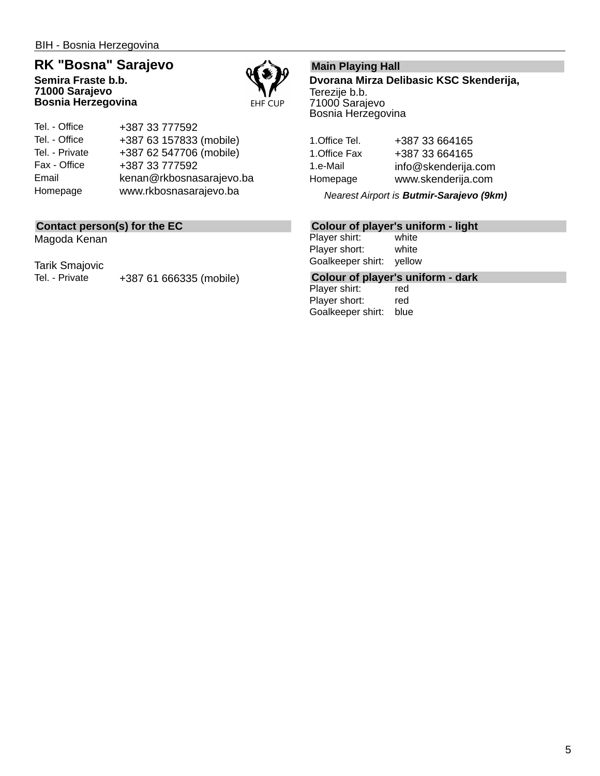## **RK "Bosna" Sarajevo**

**Semira Fraste b.b. 71000 Sarajevo Bosnia Herzegovina**



Tel. - Office Tel. - Office Tel. - Private Fax - Office Email Homepage +387 33 777592 +387 63 157833 (mobile) +387 62 547706 (mobile) +387 33 777592 kenan@rkbosnasarajevo.ba www.rkbosnasarajevo.ba

## **Contact person(s) for the EC**

Magoda Kenan

Tarik Smajovic

Tel. - Private +387 61 666335 (mobile)

## **Main Playing Hall**

**Dvorana Mirza Delibasic KSC Skenderija,** Terezije b.b. 71000 Sarajevo Bosnia Herzegovina

1.Office Tel. +387 33 664165 1.Office Fax +387 33 664165 1.e-Mail info@skenderija.com Homepage www.skenderija.com

*Nearest Airport is Butmir-Sarajevo (9km)*

## **Colour of player's uniform - light**

Player shirt: white Player short: white Goalkeeper shirt: yellow

**Colour of player's uniform - dark**

Player shirt: Player short: red Goalkeeper shirt: blue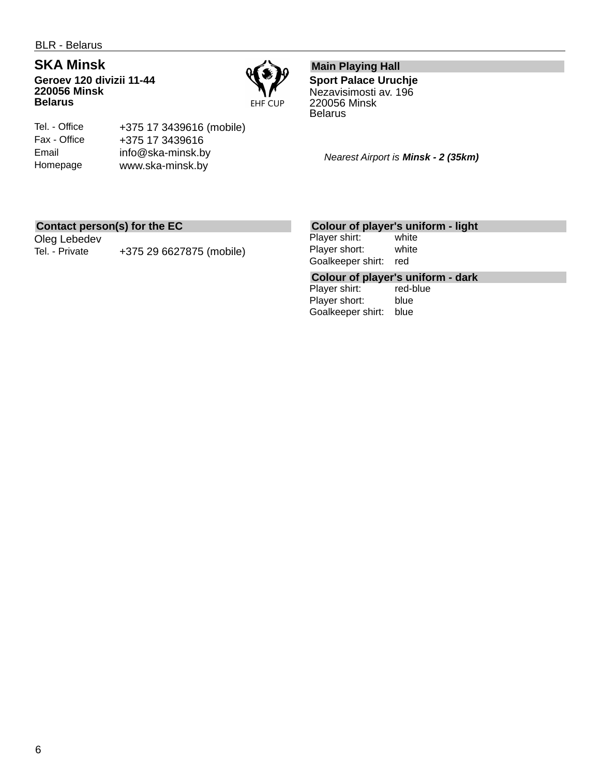## **SKA Minsk**

Tel. - Office Fax - Office Email Homepage

**Geroev 120 divizii 11-44 220056 Minsk Belarus**



## **Main Playing Hall**

**Sport Palace Uruchje** Nezavisimosti av. 196 220056 Minsk **Belarus** 

*Nearest Airport is Minsk - 2 (35km)*

## **Contact person(s) for the EC**

Oleg Lebedev Tel. - Private +375 29 6627875 (mobile)

+375 17 3439616 (mobile)

+375 17 3439616 info@ska-minsk.by www.ska-minsk.by

## **Colour of player's uniform - light**

Player shirt: white Player short: white Goalkeeper shirt: red

# **Colour of player's uniform - dark**

Player shirt: Player short: blue Goalkeeper shirt: blue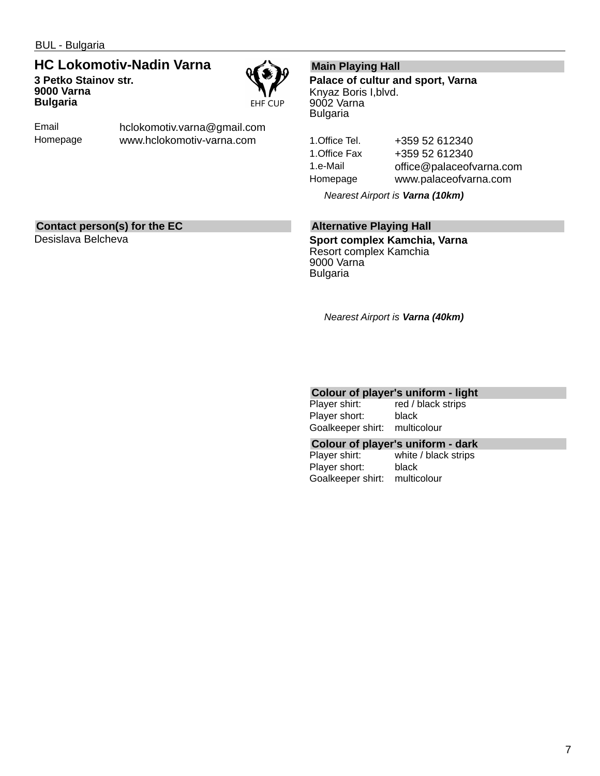BUL - Bulgaria

## **HC Lokomotiv-Nadin Varna 3 Petko Stainov str. 9000 Varna Bulgaria**



Email Homepage hclokomotiv.varna@gmail.com www.hclokomotiv-varna.com

### **Main Playing Hall**

**Palace of cultur and sport, Varna** Knyaz Boris I,blvd. 9002 Varna Bulgaria

1.Office Tel. +359 52 612340 1.Office Fax +359 52 612340 1.e-Mail office@palaceofvarna.com Homepage www.palaceofvarna.com

*Nearest Airport is Varna (10km)*

### **Contact person(s) for the EC**

Desislava Belcheva

## **Alternative Playing Hall**

**Sport complex Kamchia, Varna** Resort complex Kamchia 9000 Varna Bulgaria

*Nearest Airport is Varna (40km)*

# **Colour of player's uniform - light**<br>Player shirt: red / black strips

red / black strips Player short: black Goalkeeper shirt: multicolour

### **Colour of player's uniform - dark**

Player shirt: white / black strips Player short: black Goalkeeper shirt: multicolour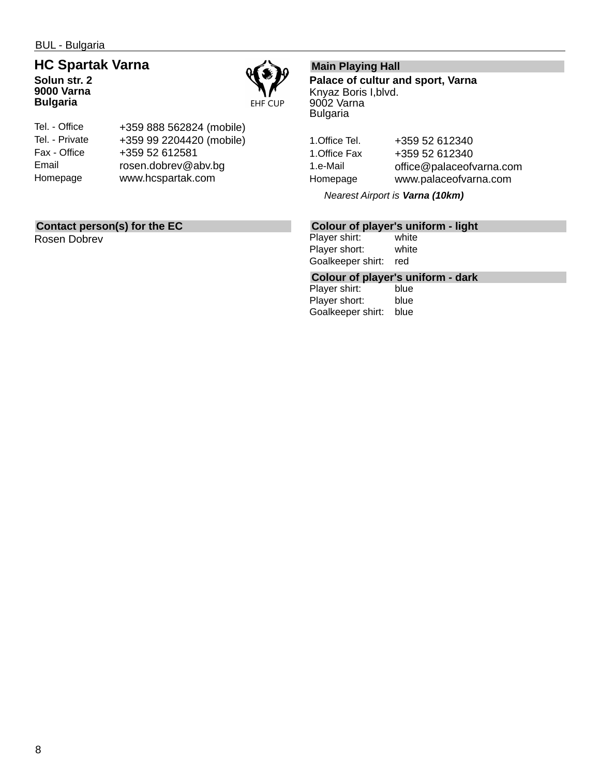BUL - Bulgaria

## **HC Spartak Varna Solun str. 2**

**9000 Varna Bulgaria**



| Tel. - Office  | +359 888 562824 (mobile) |
|----------------|--------------------------|
| Tel. - Private | +359 99 2204420 (mobile) |
| Fax - Office   | +359 52 612581           |
| Email          | rosen.dobrev@abv.bg      |
| Homepage       | www.hcspartak.com        |

## **Contact person(s) for the EC**

Rosen Dobrev

## **Main Playing Hall**

**Palace of cultur and sport, Varna** Knyaz Boris I,blvd. 9002 Varna Bulgaria

1.Office Tel. +359 52 612340 1.Office Fax +359 52 612340 1.e-Mail office@palaceofvarna.com Homepage www.palaceofvarna.com

*Nearest Airport is Varna (10km)*

## **Colour of player's uniform - light**

Player shirt: Player short: white Goalkeeper shirt: red

## **Colour of player's uniform - dark**

Player shirt: Player short: blue Goalkeeper shirt: blue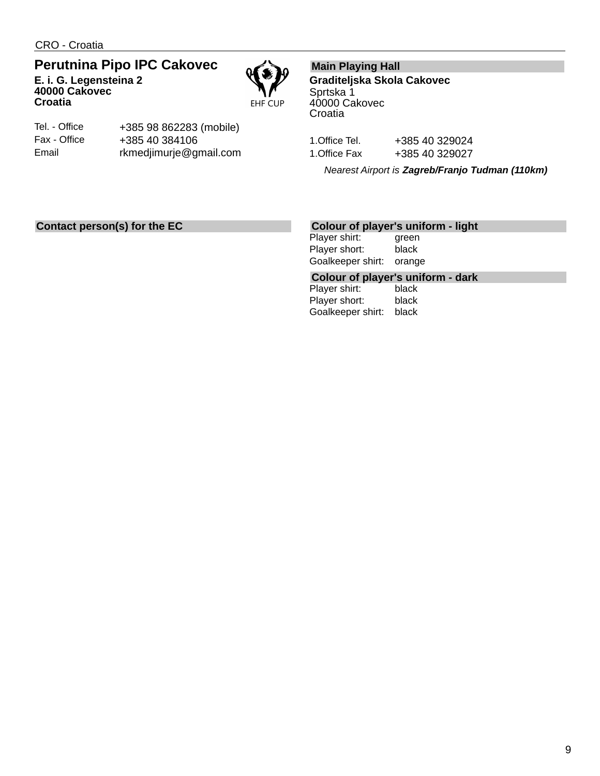CRO - Croatia

**40000 Cakovec**

## **Perutnina Pipo IPC Cakovec E. i. G. Legensteina 2**

EHF CUP

Tel. - Office Fax - Office Email

**Croatia**

+385 98 862283 (mobile) +385 40 384106 rkmedjimurje@gmail.com

## **Main Playing Hall**

**Graditeljska Skola Cakovec** Sprtska 1 40000 Cakovec **Croatia** 

1.Office Tel. +385 40 329024 1.Office Fax +385 40 329027

*Nearest Airport is Zagreb/Franjo Tudman (110km)*

## **Contact person(s) for the EC**

### **Colour of player's uniform - light**

Player shirt: green Player short: black Goalkeeper shirt: orange

**Colour of player's uniform - dark**

Player shirt: Player short: black Goalkeeper shirt: black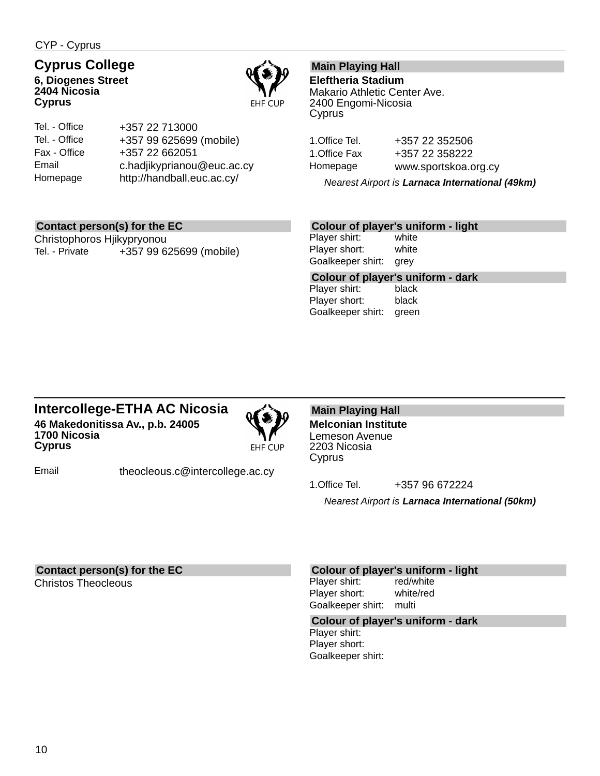CYP - Cyprus

## **Cyprus College**

**6, Diogenes Street 2404 Nicosia Cyprus**



| Tel. - Office | +357 22 713000             |
|---------------|----------------------------|
| Tel. - Office | +357 99 625699 (mobile)    |
| Fax - Office  | +357 22 662051             |
| Email         | c.hadjikyprianou@euc.ac.cy |
| Homepage      | http://handball.euc.ac.cy/ |

## **Main Playing Hall**

**Eleftheria Stadium** Makario Athletic Center Ave. 2400 Engomi-Nicosia Cyprus

1.Office Tel. +357 22 352506 1.Office Fax +357 22 358222 Homepage www.sportskoa.org.cy

*Nearest Airport is Larnaca International (49km)*

## **Contact person(s) for the EC**

Christophoros Hjikypryonou Tel. - Private +357 99 625699 (mobile)

### **Colour of player's uniform - light**

Player shirt: white Player short: white Goalkeeper shirt: grey

**Colour of player's uniform - dark**

Player shirt: Player short: black Goalkeeper shirt: green

## **Intercollege-ETHA AC Nicosia 46 Makedonitissa Av., p.b. 24005 1700 Nicosia Cyprus**



Email theocleous.c@intercollege.ac.cy

**Main Playing Hall Melconian Institute** Lemeson Avenue 2203 Nicosia Cyprus

1.Office Tel. +357 96 672224

*Nearest Airport is Larnaca International (50km)*

## **Contact person(s) for the EC**

Christos Theocleous

### **Colour of player's uniform - light**

Player shirt: red/white Player short: white/red Goalkeeper shirt: multi

## **Colour of player's uniform - dark**

Player shirt: Player short: Goalkeeper shirt: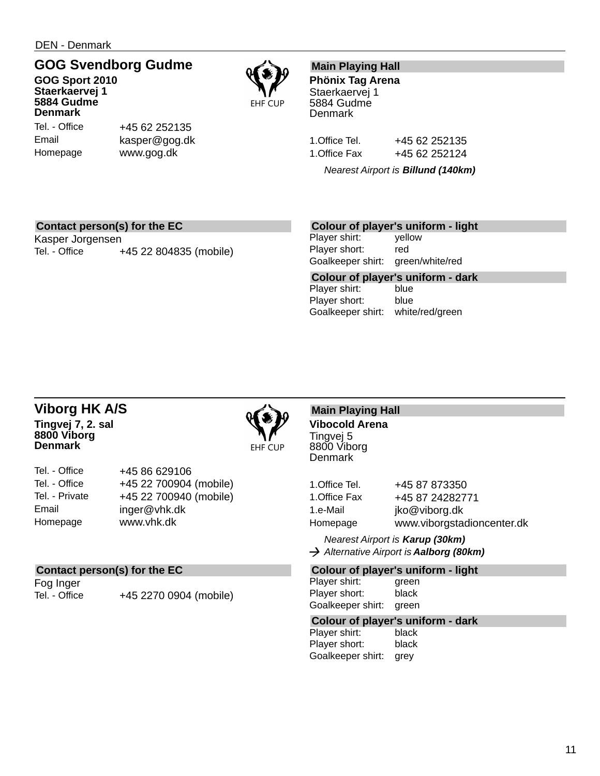DEN - Denmark

## **GOG Svendborg Gudme**

**GOG Sport 2010 Staerkaervej 1 5884 Gudme Denmark**

Tel. - Office Email Homepage



## **Main Playing Hall**

**Phönix Tag Arena** Staerkaervej 1 5884 Gudme **Denmark** 

1. Office Tel. +45 62 252135 1. Office Fax +45 62 252124

*Nearest Airport is Billund (140km)*

## **Contact person(s) for the EC**

Kasper Jorgensen Tel. - Office +45 22 804835 (mobile)

+45 62 252135 kasper@gog.dk www.gog.dk

## **Colour of player's uniform - light**

Player shirt: yellow Player short: red Goalkeeper shirt: green/white/red

**Colour of player's uniform - dark** Player shirt: Player short: blue Goalkeeper shirt: white/red/green

### **Viborg HK A/S Tingvej 7, 2. sal 8800 Viborg Denmark**



| Tel. - Office  | +45 86 629106          |
|----------------|------------------------|
| Tel. - Office  | +45 22 700904 (mobile) |
| Tel. - Private | +45 22 700940 (mobile) |
| Email          | inger@vhk.dk           |
| Homepage       | www.vhk.dk             |

## **Contact person(s) for the EC**

Fog Inger

Tel. - Office +45 2270 0904 (mobile)

## **Main Playing Hall Vibocold Arena**

Tingvej 5 8800 Viborg **Denmark** 

| 1.Office Tel. | +45 87 873350              |
|---------------|----------------------------|
| 1.Office Fax  | +45 87 24282771            |
| 1.e-Mail      | jko@viborg.dk              |
| Homepage      | www.viborgstadioncenter.dk |

*Nearest Airport is Karup (30km) Alternative Airport is Aalborg (80km)*

### **Colour of player's uniform - light**

Player shirt: green Player short: black Goalkeeper shirt: green

#### **Colour of player's uniform - dark**

| Player shirt:     | black |
|-------------------|-------|
| Player short:     | black |
| Goalkeeper shirt: | grey  |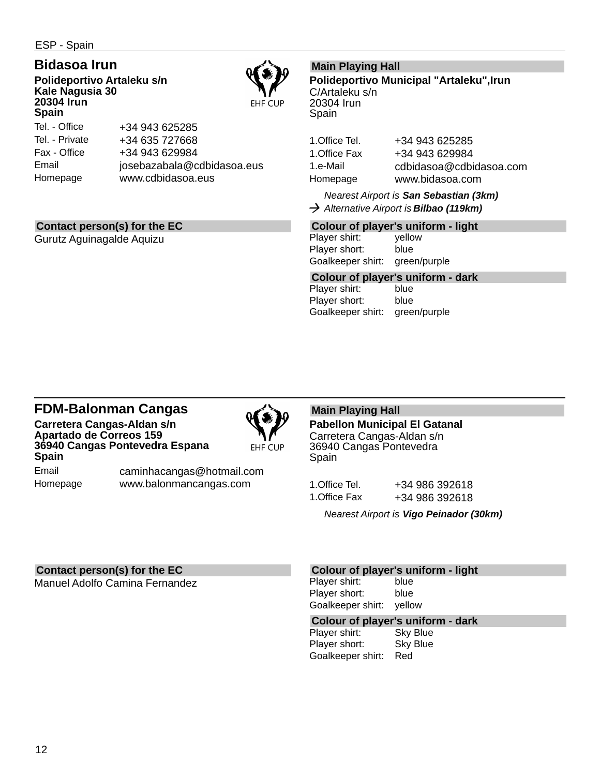ESP - Spain

## **Bidasoa Irun**

**Polideportivo Artaleku s/n Kale Nagusia 30 20304 Irun Spain**



Tel. - Office Tel. - Private Fax - Office Email Homepage +34 943 625285 +34 635 727668 +34 943 629984 josebazabala@cdbidasoa.eus www.cdbidasoa.eus

## **Contact person(s) for the EC**

Gurutz Aguinagalde Aquizu

## **Main Playing Hall**

**Polideportivo Municipal "Artaleku",Irun** C/Artaleku s/n 20304 Irun Spain

1.Office Tel. +34 943 625285 1.Office Fax +34 943 629984 1.e-Mail cdbidasoa@cdbidasoa.com Homepage www.bidasoa.com

*Nearest Airport is San Sebastian (3km) Alternative Airport is Bilbao (119km)*

## **Colour of player's uniform - light**

Player shirt: yellow Player short: blue Goalkeeper shirt: green/purple

## **Colour of player's uniform - dark**

Player shirt: Player short: blue Goalkeeper shirt: green/purple

## **FDM-Balonman Cangas**

**Carretera Cangas-Aldan s/n Apartado de Correos 159 36940 Cangas Pontevedra Espana Spain**



**EHF CUP** 

Email Homepage caminhacangas@hotmail.com www.balonmancangas.com

## **Main Playing Hall**

**Pabellon Municipal El Gatanal** Carretera Cangas-Aldan s/n 36940 Cangas Pontevedra Spain

1.Office Tel. +34 986 392618 1.Office Fax +34 986 392618

*Nearest Airport is Vigo Peinador (30km)*

## **Contact person(s) for the EC**

Manuel Adolfo Camina Fernandez

### **Colour of player's uniform - light**

Player shirt: blue Player short: blue Goalkeeper shirt: yellow

## **Colour of player's uniform - dark**

Player shirt: Player short: Sky Blue Goalkeeper shirt: Red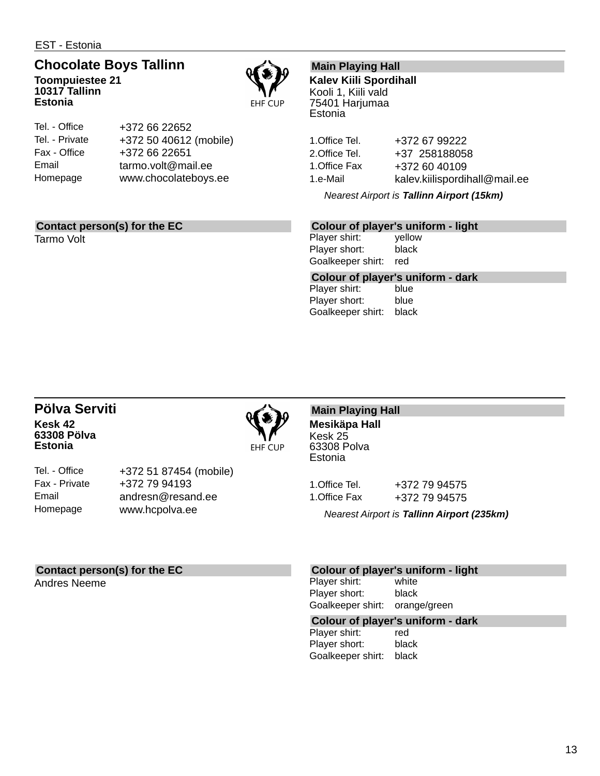EST - Estonia

## **Chocolate Boys Tallinn**

**Toompuiestee 21 10317 Tallinn Estonia**



| Tel. - Office  | +372 66 22652          |
|----------------|------------------------|
| Tel. - Private | +372 50 40612 (mobile) |
| Fax - Office   | +372 66 22651          |
| Email          | tarmo.volt@mail.ee     |
| Homepage       | www.chocolateboys.ee   |
|                |                        |

## **Contact person(s) for the EC**

Tarmo Volt

## **Main Playing Hall**

**Kalev Kiili Spordihall** Kooli 1, Kiili vald 75401 Harjumaa Estonia

1.Office Tel. +372 67 99222 2.Office Tel. +37 258188058 1.Office Fax +372 60 40109 1.e-Mail kalev.kiilispordihall@mail.ee

*Nearest Airport is Tallinn Airport (15km)*

## **Colour of player's uniform - light**

Player shirt: yellow Player short: black Goalkeeper shirt: red

**Colour of player's uniform - dark** Player shirt:

Player short: blue Goalkeeper shirt: black

## **Pölva Serviti Kesk 42 63308 Pölva Estonia**



Tel. - Office Fax - Private Email Homepage

+372 51 87454 (mobile) +372 79 94193 andresn@resand.ee www.hcpolva.ee

#### **Main Playing Hall Mesikäpa Hall** Kesk 25

63308 Polva Estonia

1.Office Tel. +372 79 94575 1.Office Fax +372 79 94575

*Nearest Airport is Tallinn Airport (235km)*

## **Contact person(s) for the EC**

Andres Neeme

### **Colour of player's uniform - light**

Player shirt: white Player short: black Goalkeeper shirt: orange/green

### **Colour of player's uniform - dark**

Player shirt: red Player short: black Goalkeeper shirt: black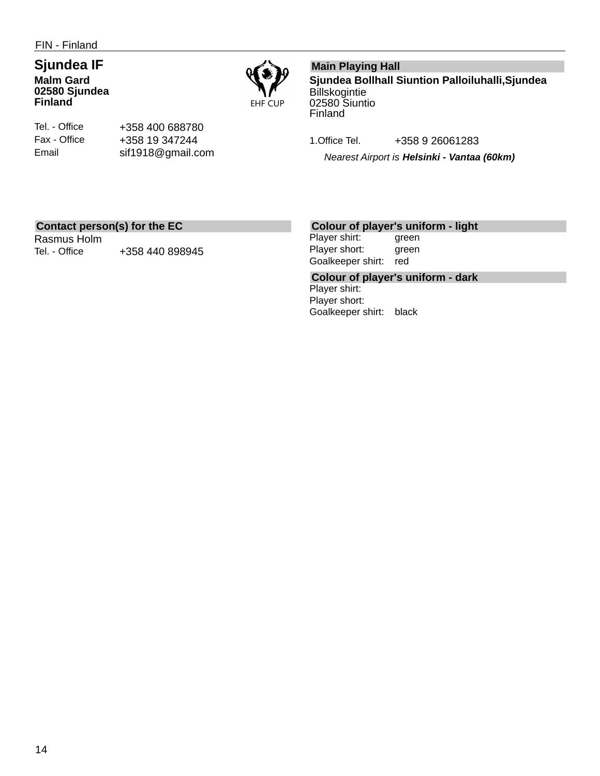FIN - Finland

## **Sjundea IF Malm Gard 02580 Sjundea Finland**



Tel. - Office Fax - Office Email

+358 400 688780 +358 19 347244 sif1918@gmail.com

## **Main Playing Hall**

**Sjundea Bollhall Siuntion Palloiluhalli,Sjundea Billskogintie** 02580 Siuntio Finland

1.Office Tel. +358 9 26061283

*Nearest Airport is Helsinki - Vantaa (60km)*

## **Contact person(s) for the EC**

Rasmus Holm Tel. - Office +358 440 898945

## **Colour of player's uniform - light**

Player shirt: green Player short: green Goalkeeper shirt: red

**Colour of player's uniform - dark** Player shirt: Player short: Goalkeeper shirt: black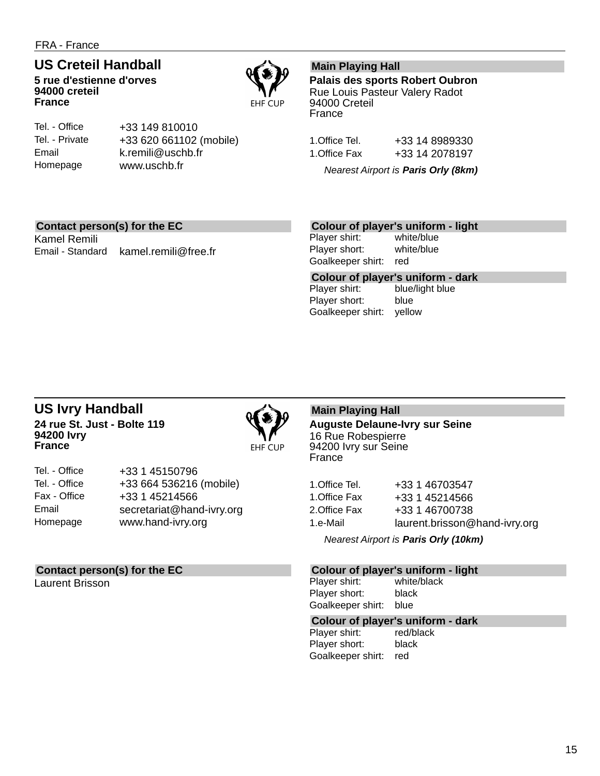## **US Creteil Handball**

**5 rue d'estienne d'orves 94000 creteil France**



Tel. - Office Tel. - Private Email Homepage

+33 149 810010 +33 620 661102 (mobile) k.remili@uschb.fr www.uschb.fr

## **Main Playing Hall**

**Palais des sports Robert Oubron** Rue Louis Pasteur Valery Radot 94000 Creteil France

1.Office Tel. +33 14 8989330 1.Office Fax +33 14 2078197

*Nearest Airport is Paris Orly (8km)*

## **Contact person(s) for the EC**

Kamel Remili Email - Standard kamel.remili@free.fr

### **Colour of player's uniform - light**

Player shirt: white/blue Player short: white/blue Goalkeeper shirt: red

**Colour of player's uniform - dark** blue/light blue Player short: blue Goalkeeper shirt: yellow

## **US Ivry Handball 24 rue St. Just - Bolte 119 94200 Ivry France**



| Tel. - Office | +33 1 45150796            |
|---------------|---------------------------|
| Tel. - Office | +33 664 536216 (mobile)   |
| Fax - Office  | +33 1 45214566            |
| Email         | secretariat@hand-ivry.org |
| Homepage      | www.hand-ivry.org         |

## **Contact person(s) for the EC**

Laurent Brisson

## **Main Playing Hall**

**Auguste Delaune-Ivry sur Seine** 16 Rue Robespierre 94200 Ivry sur Seine France

| 1.Office Tel. | +33 1 46703547                |
|---------------|-------------------------------|
| 1.Office Fax  | +33 1 45214566                |
| 2.Office Fax  | +33 1 46700738                |
| 1.e-Mail      | laurent.brisson@hand-ivry.org |
|               |                               |

*Nearest Airport is Paris Orly (10km)*

### **Colour of player's uniform - light**

Player shirt: white/black Player short: black Goalkeeper shirt: blue

## **Colour of player's uniform - dark**

Player shirt: Player short: black Goalkeeper shirt: red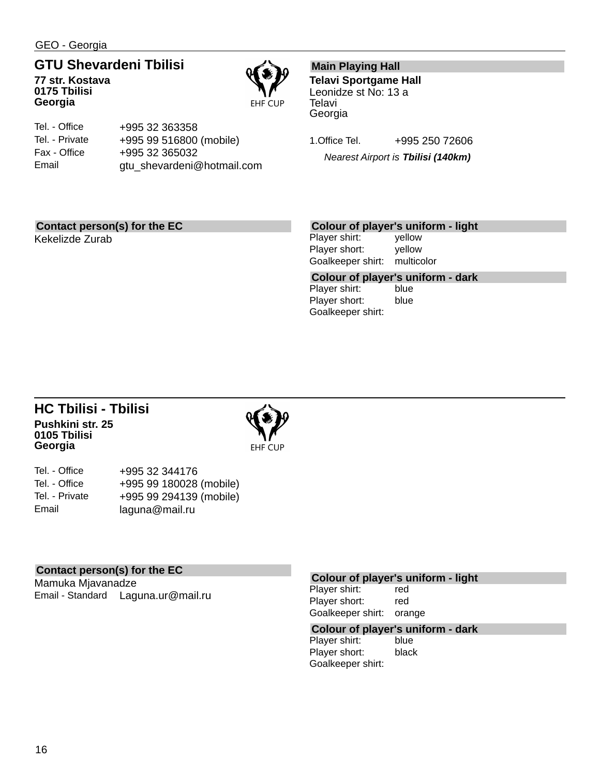GEO - Georgia

## **GTU Shevardeni Tbilisi**

**77 str. Kostava 0175 Tbilisi Georgia**



| Tel. - Office  | +995 32 363358             |
|----------------|----------------------------|
| Tel. - Private | +995 99 516800 (mobile)    |
| Fax - Office   | +995 32 365032             |
| Email          | gtu_shevardeni@hotmail.com |

## **Main Playing Hall**

**Telavi Sportgame Hall** Leonidze st No: 13 a **Telavi** Georgia

1.Office Tel. +995 250 72606 *Nearest Airport is Tbilisi (140km)*

## **Contact person(s) for the EC**

Kekelizde Zurab

## **Colour of player's uniform - light**

Player shirt: yellow Player short: yellow Goalkeeper shirt: multicolor

**Colour of player's uniform - dark** Player shirt: Player short: blue Goalkeeper shirt:

## **HC Tbilisi - Tbilisi Pushkini str. 25 0105 Tbilisi Georgia**



| Tel. - Office  | +995 32 344176          |
|----------------|-------------------------|
| Tel. - Office  | +995 99 180028 (mobile) |
| Tel. - Private | +995 99 294139 (mobile) |
| Email          | laguna@mail.ru          |

## **Contact person(s) for the EC**

Mamuka Mjavanadze Email - Standard Laguna.ur@mail.ru

## **Colour of player's uniform - light**

Player shirt: red Player short: red Goalkeeper shirt: orange

## **Colour of player's uniform - dark**

Player shirt: blue Player short: black Goalkeeper shirt: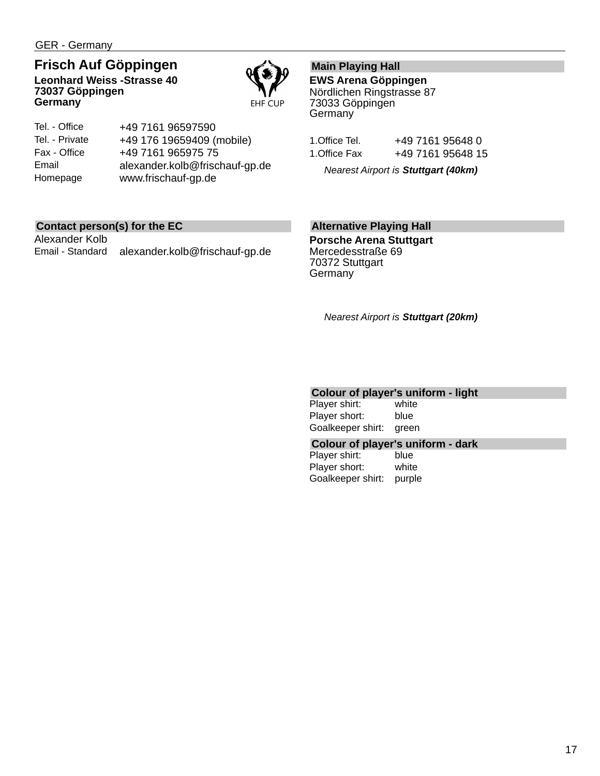GER - Germany

## **Frisch Auf Göppingen**

**Leonhard Weiss -Strasse 40 73037 Göppingen Germany**



| Tel. - Office  | +49 7161 96597590              |
|----------------|--------------------------------|
| Tel. - Private | +49 176 19659409 (mobile)      |
| Fax - Office   | +49 7161 965975 75             |
| Email          | alexander.kolb@frischauf-gp.de |
| Homepage       | www.frischauf-gp.de            |

## **Contact person(s) for the EC**

Alexander Kolb Email - Standard alexander.kolb@frischauf-gp.de

## **Main Playing Hall**

**EWS Arena Göppingen** Nördlichen Ringstrasse 87 73033 Göppingen **Germany** 

| I.Office Tel. | +49 7161 95648 0  |  |
|---------------|-------------------|--|
| 1.Office Fax  | +49 7161 95648 15 |  |

*Nearest Airport is Stuttgart (40km)*

## **Alternative Playing Hall**

**Porsche Arena Stuttgart** Mercedesstraße 69 70372 Stuttgart **Germany** 

*Nearest Airport is Stuttgart (20km)*

## **Colour of player's uniform - light**

| Player shirt:     | white |
|-------------------|-------|
| Player short:     | blue  |
| Goalkeeper shirt: | green |

### **Colour of player's uniform - dark**

Player shirt: blue Player short: white Goalkeeper shirt: purple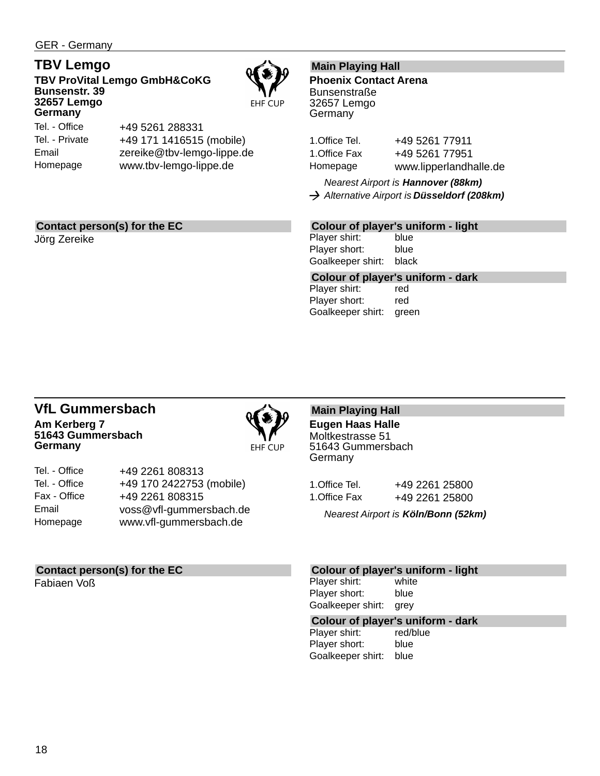GER - Germany

## **TBV Lemgo**

**TBV ProVital Lemgo GmbH&CoKG Bunsenstr. 39 32657 Lemgo Germany**

Tel. - Office Tel. - Private

+49 5261 288331 +49 171 1416515 (mobile) zereike@tbv-lemgo-lippe.de www.tbv-lemgo-lippe.de

## **Main Playing Hall**

**Phoenix Contact Arena Bunsenstraße** 32657 Lemgo Germany

1. Office Tel. +49 5261 77911 1.Office Fax +49 5261 77951 Homepage www.lipperlandhalle.de

*Nearest Airport is Hannover (88km) Alternative Airport is Düsseldorf (208km)*

## **Contact person(s) for the EC**

Jörg Zereike

Email Homepage

## **Colour of player's uniform - light**

Player shirt: blue Player short: blue Goalkeeper shirt: black

**Colour of player's uniform - dark** Player shirt: red

Player short: red Goalkeeper shirt: green

## **VfL Gummersbach Am Kerberg 7 51643 Gummersbach Germany**



EHF CUP

| Tel. - Office | +49 2261 808313          |
|---------------|--------------------------|
| Tel. - Office | +49 170 2422753 (mobile) |
| Fax - Office  | +49 2261 808315          |
| Email         | voss@vfl-gummersbach.de  |
| Homepage      | www.vfl-gummersbach.de   |
|               |                          |

## **Contact person(s) for the EC**

Fabiaen Voß

**Main Playing Hall Eugen Haas Halle** Moltkestrasse 51 51643 Gummersbach

**Germany** 1. Office Tel. +49 2261 25800

| 1.Office Fax | +49 2261 25800 |
|--------------|----------------|
|              |                |

*Nearest Airport is Köln/Bonn (52km)*

### **Colour of player's uniform - light**

Player shirt: white Player short: blue Goalkeeper shirt: grey

## **Colour of player's uniform - dark**

Player shirt: Player short: blue Goalkeeper shirt: blue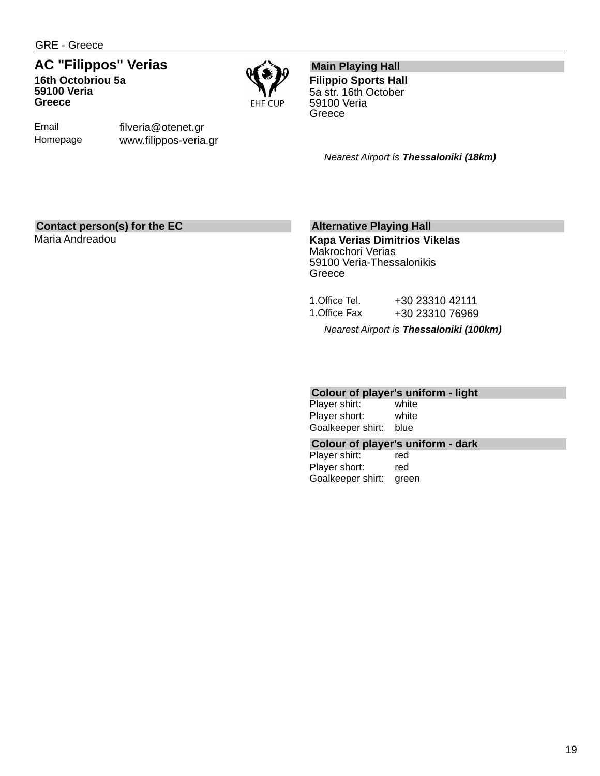Email Homepage

## **AC "Filippos" Verias 16th Octobriou 5a 59100 Veria Greece**

filveria@otenet.gr www.filippos-veria.gr



**Main Playing Hall**

**Filippio Sports Hall** 5a str. 16th October 59100 Veria **Greece** 

*Nearest Airport is Thessaloniki (18km)*

## **Contact person(s) for the EC**

Maria Andreadou

## **Alternative Playing Hall**

**Kapa Verias Dimitrios Vikelas** Makrochori Verias 59100 Veria-Thessalonikis **Greece** 

|               | Nearest Airport is Thessaloniki (100km) |
|---------------|-----------------------------------------|
| 1.Office Fax  | +30 23310 76969                         |
| 1.Office Tel. | +30 23310 42111                         |

## **Colour of player's uniform - light**

Player shirt: Player short: white Goalkeeper shirt: blue

### **Colour of player's uniform - dark**

Player shirt: red Player short: red Goalkeeper shirt: green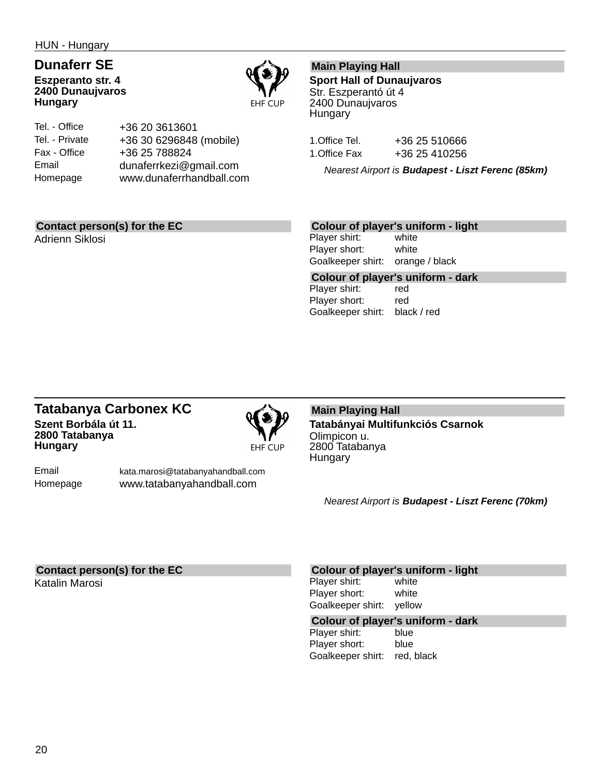HUN - Hungary

## **Dunaferr SE Eszperanto str. 4 2400 Dunaujvaros Hungary**



Tel. - Office Tel. - Private Fax - Office Email Homepage +36 20 3613601 +36 30 6296848 (mobile) +36 25 788824 dunaferrkezi@gmail.com www.dunaferrhandball.com

## **Main Playing Hall**

**Sport Hall of Dunaujvaros** Str. Eszperantó út 4 2400 Dunaujvaros **Hungary** 

1. Office Tel. +36 25 510666 1. Office Fax +36 25 410256

*Nearest Airport is Budapest - Liszt Ferenc (85km)*

## **Contact person(s) for the EC**

Adrienn Siklosi

#### **Colour of player's uniform - light**

Player shirt: white Player short: white Goalkeeper shirt: orange / black

**Colour of player's uniform - dark** Player shirt: red Player short: red Goalkeeper shirt: black / red

## **Tatabanya Carbonex KC Szent Borbála út 11. 2800 Tatabanya Hungary**



Email Homepage

kata.marosi@tatabanyahandball.com www.tatabanyahandball.com

#### **Main Playing Hall Tatabányai Multifunkciós Csarnok** Olimpicon u. 2800 Tatabanya **Hungary**

*Nearest Airport is Budapest - Liszt Ferenc (70km)*

## **Contact person(s) for the EC**

Katalin Marosi

#### **Colour of player's uniform - light**

Player shirt: white Player short: white Goalkeeper shirt: yellow

## **Colour of player's uniform - dark**

Player shirt: Player short: blue Goalkeeper shirt: red, black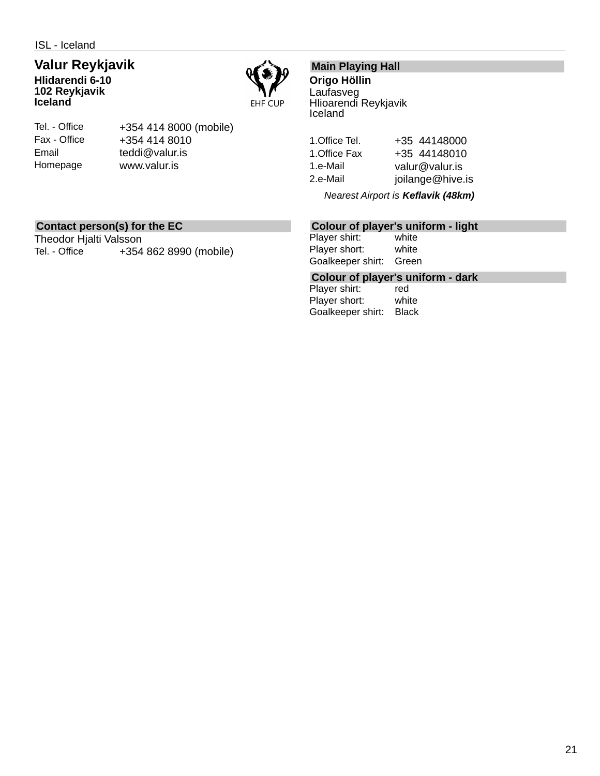ISL - Iceland

## **Valur Reykjavik**

**Hlidarendi 6-10 102 Reykjavik Iceland**



Tel. - Office Fax - Office Email Homepage

+354 414 8000 (mobile) +354 414 8010 teddi@valur.is www.valur.is

## **Main Playing Hall**

**Origo Höllin** Laufasveg Hlioarendi Reykjavik Iceland

1.Office Tel. +35 44148000 1. Office Fax +35 44148010 1.e-Mail valur@valur.is 2.e-Mail joilange@hive.is

*Nearest Airport is Keflavik (48km)*

## **Contact person(s) for the EC**

Theodor Hjalti Valsson Tel. - Office +354 862 8990 (mobile)

## **Colour of player's uniform - light**

Player shirt: white Player short: white Goalkeeper shirt: Green

**Colour of player's uniform - dark**

Player shirt: Player short: white Goalkeeper shirt: Black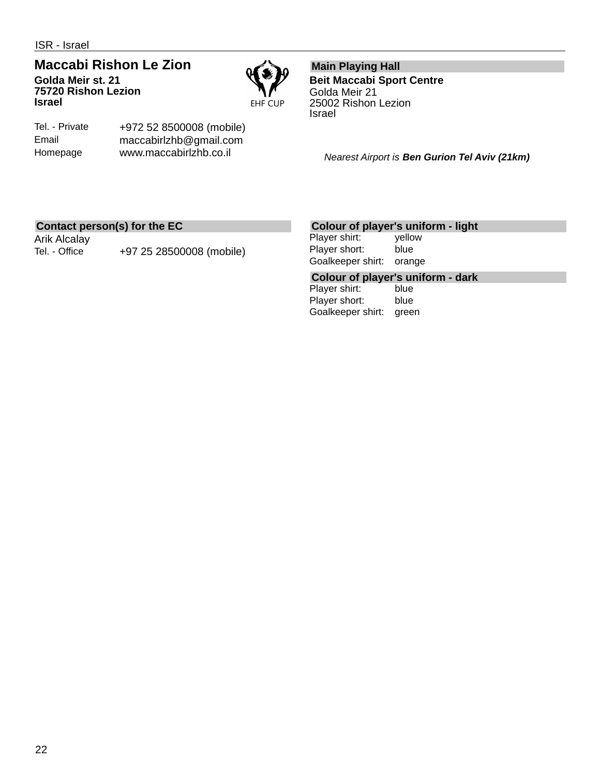### **Maccabi Rishon Le Zion Golda Meir st. 21 75720 Rishon Lezion Israel**



Tel. - Private Email Homepage

+972 52 8500008 (mobile) maccabirlzhb@gmail.com www.maccabirlzhb.co.il

**Main Playing Hall Beit Maccabi Sport Centre** Golda Meir 21 25002 Rishon Lezion Israel

*Nearest Airport is Ben Gurion Tel Aviv (21km)*

## **Contact person(s) for the EC**

Arik Alcalay

Tel. - Office +97 25 28500008 (mobile)

## **Colour of player's uniform - light**

Player shirt: yellow Player short: blue Goalkeeper shirt: orange

**Colour of player's uniform - dark**

Player shirt: Player short: blue Goalkeeper shirt: green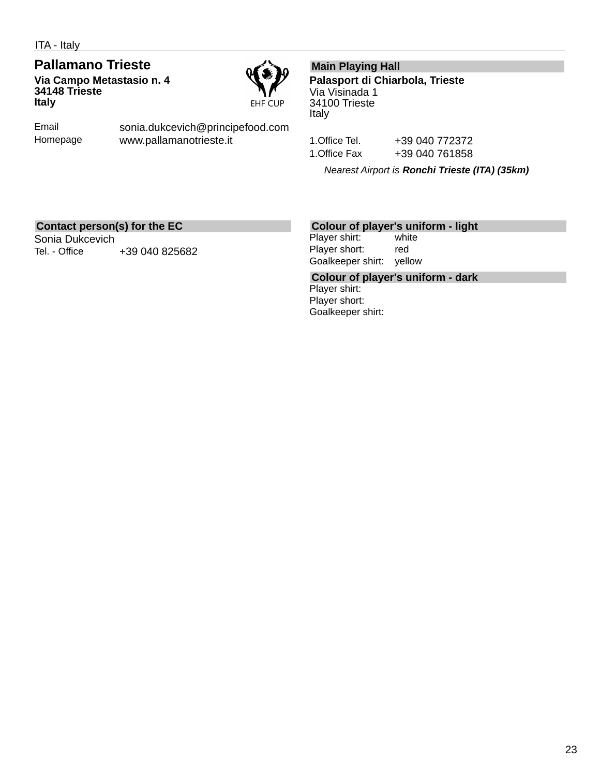**Pallamano Trieste Via Campo Metastasio n. 4 34148 Trieste Italy**



Email Homepage sonia.dukcevich@principefood.com www.pallamanotrieste.it

## **Main Playing Hall**

**Palasport di Chiarbola, Trieste** Via Visinada 1 34100 Trieste Italy

1.Office Tel. +39 040 772372 1.Office Fax +39 040 761858

*Nearest Airport is Ronchi Trieste (ITA) (35km)*

## **Contact person(s) for the EC**

Sonia Dukcevich Tel. - Office  $+39040825682$ 

#### **Colour of player's uniform - light**

Player shirt: white Player short: red Goalkeeper shirt: yellow

**Colour of player's uniform - dark** Player shirt: Player short: Goalkeeper shirt: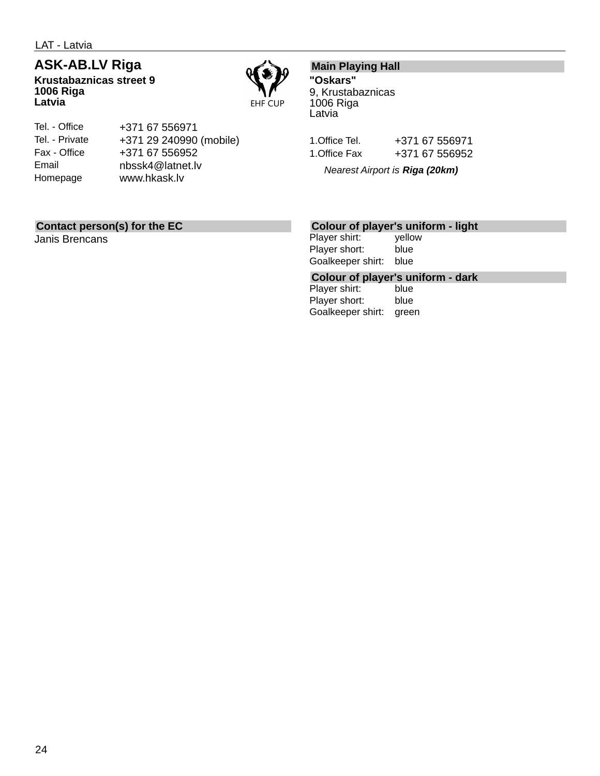LAT - Latvia

## **ASK-AB.LV Riga**

**Krustabaznicas street 9 1006 Riga Latvia**



#### Tel. - Office Tel. - Private Fax - Office Email Homepage +371 67 556971 +371 29 240990 (mobile) +371 67 556952 nbssk4@latnet.lv www.hkask.lv

## **Main Playing Hall**

**"Oskars"** 9, Krustabaznicas 1006 Riga Latvia

| 1.Office Tel. | +371 67 556971 |
|---------------|----------------|
| 1.Office Fax  | +371 67 556952 |

*Nearest Airport is Riga (20km)*

## **Contact person(s) for the EC**

Janis Brencans

## **Colour of player's uniform - light**

Player shirt: yellow Player short: blue Goalkeeper shirt: blue

## **Colour of player's uniform - dark**

Player shirt: Player short: blue Goalkeeper shirt: green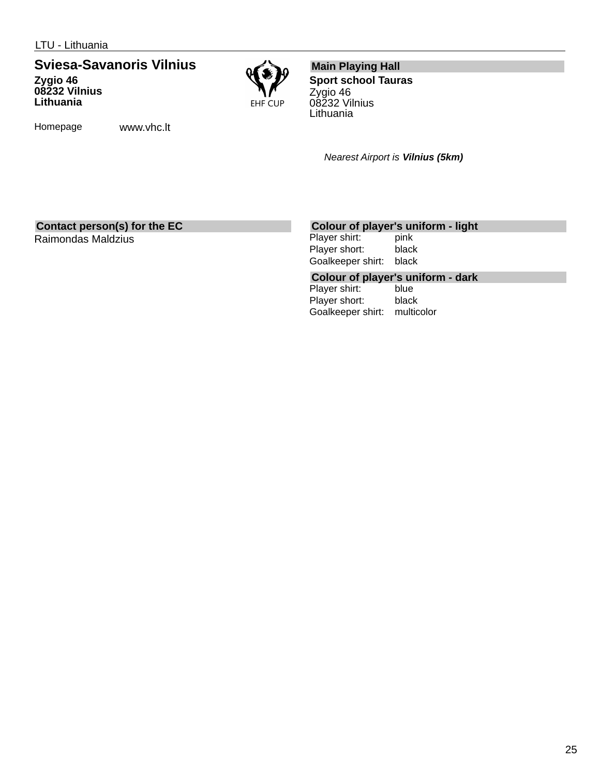## **Sviesa-Savanoris Vilnius**

**Zygio 46 08232 Vilnius Lithuania**



Homepage www.vhc.lt

## **Main Playing Hall**

**Sport school Tauras** Zygio 46 08232 Vilnius **Lithuania** 

*Nearest Airport is Vilnius (5km)*

## **Contact person(s) for the EC**

Raimondas Maldzius

## **Colour of player's uniform - light**

Player shirt: Player short: black Goalkeeper shirt: black

## **Colour of player's uniform - dark**

Player shirt: Player short: black Goalkeeper shirt: multicolor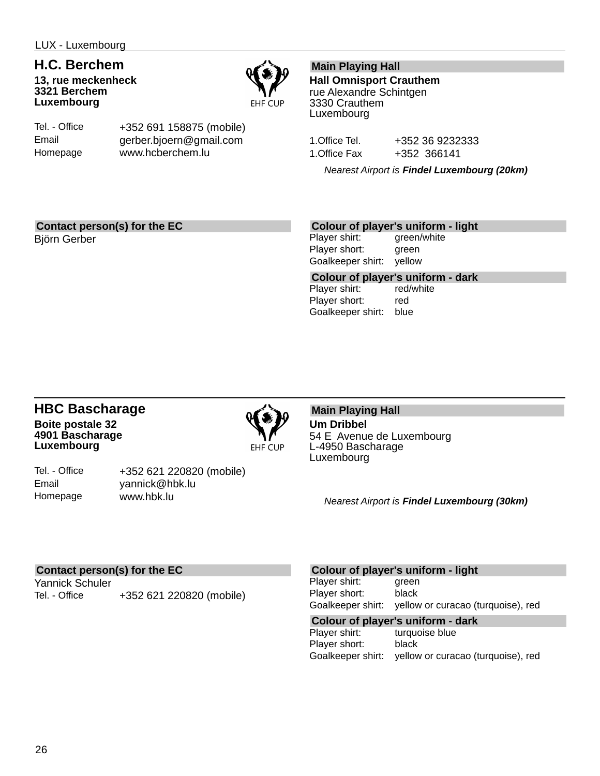## **H.C. Berchem**

**13, rue meckenheck 3321 Berchem Luxembourg**



Tel. - Office Email Homepage

+352 691 158875 (mobile) gerber.bjoern@gmail.com www.hcberchem.lu

## **Main Playing Hall**

**Hall Omnisport Crauthem** rue Alexandre Schintgen 3330 Crauthem Luxembourg

1.Office Tel. +352 36 9232333 1. Office Fax +352 366141

*Nearest Airport is Findel Luxembourg (20km)*

## **Contact person(s) for the EC**

Björn Gerber

## **Colour of player's uniform - light**

Player shirt: green/white Player short: green Goalkeeper shirt: yellow

**Colour of player's uniform - dark** Player shirt: Player short: red Goalkeeper shirt: blue

## **HBC Bascharage Boite postale 32 4901 Bascharage Luxembourg**



Tel. - Office Email Homepage

+352 621 220820 (mobile) yannick@hbk.lu www.hbk.lu

#### **Main Playing Hall Um Dribbel** 54 E Avenue de Luxembourg L-4950 Bascharage Luxembourg

*Nearest Airport is Findel Luxembourg (30km)*

## **Contact person(s) for the EC**

Yannick Schuler Tel. - Office +352 621 220820 (mobile)

### **Colour of player's uniform - light**

Player shirt: green Player short: black Goalkeeper shirt: yellow or curacao (turquoise), red

## **Colour of player's uniform - dark**

turquoise blue Player short: black Goalkeeper shirt: yellow or curacao (turquoise), red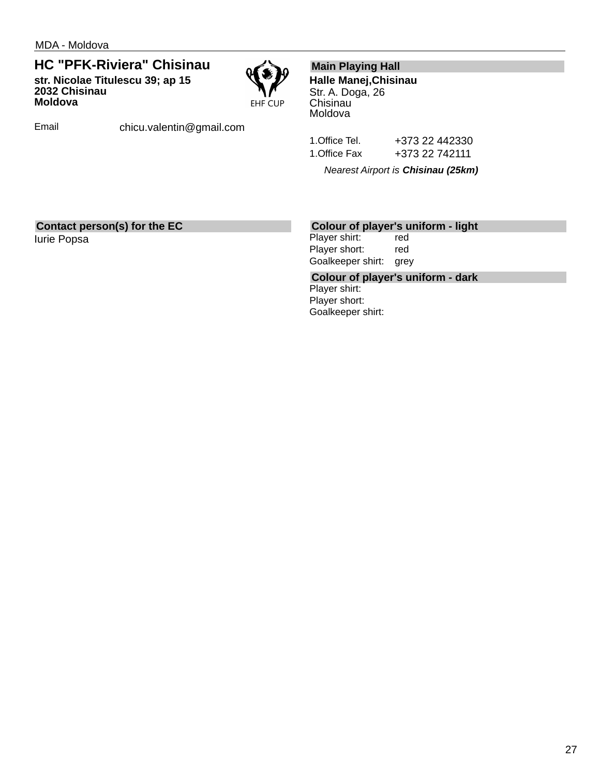**HC "PFK-Riviera" Chisinau str. Nicolae Titulescu 39; ap 15 2032 Chisinau Moldova**



Email chicu.valentin@gmail.com

## **Main Playing Hall**

**Halle Manej,Chisinau** Str. A. Doga, 26 Chisinau Moldova

1.Office Tel. +373 22 442330 1.Office Fax +373 22 742111

*Nearest Airport is Chisinau (25km)*

## **Contact person(s) for the EC**

Iurie Popsa

## **Colour of player's uniform - light**

Player shirt: red Player short: red Goalkeeper shirt: grey

**Colour of player's uniform - dark** Player shirt: Player short: Goalkeeper shirt: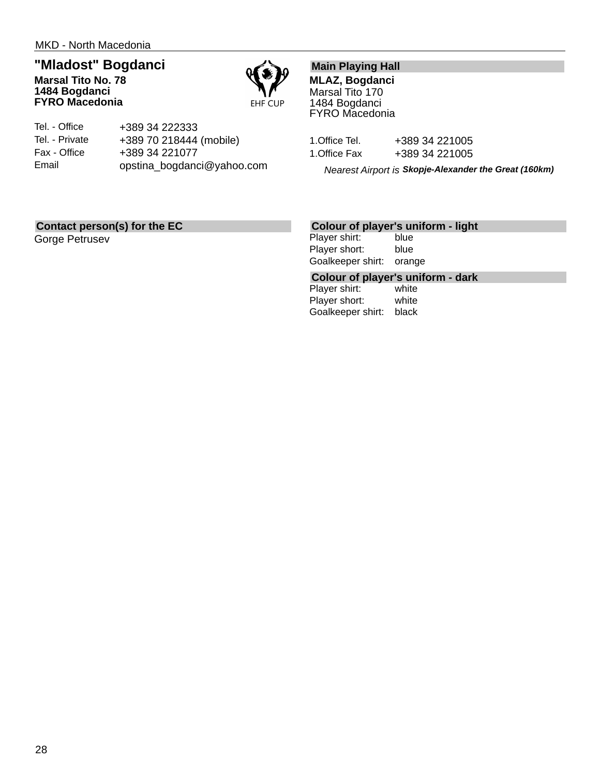## **"Mladost" Bogdanci**

**Marsal Tito No. 78 1484 Bogdanci FYRO Macedonia**



| Tel. - Office  | +389 34 222333             |
|----------------|----------------------------|
| Tel. - Private | +389 70 218444 (mobile)    |
| Fax - Office   | +389 34 221077             |
| Email          | opstina_bogdanci@yahoo.com |

## **Main Playing Hall**

**MLAZ, Bogdanci** Marsal Tito 170 1484 Bogdanci FYRO Macedonia

| 1.Office Tel. | +389 34 221005 |
|---------------|----------------|
| 1.Office Fax  | +389 34 221005 |

*Nearest Airport is Skopje-Alexander the Great (160km)*

## **Contact person(s) for the EC**

Gorge Petrusev

## **Colour of player's uniform - light**

Player shirt: blue Player short: blue Goalkeeper shirt: orange

## **Colour of player's uniform - dark**

Player shirt: Player short: white Goalkeeper shirt: black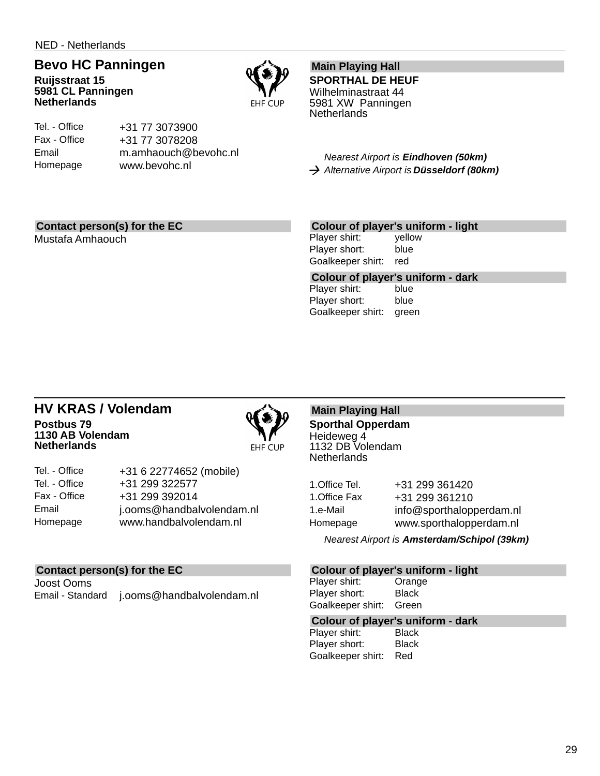## **Bevo HC Panningen**

**Ruijsstraat 15 5981 CL Panningen Netherlands**



#### Tel. - Office Fax - Office Email Homepage

+31 77 3073900 +31 77 3078208 m.amhaouch@bevohc.nl www.bevohc.nl

## **Main Playing Hall**

**SPORTHAL DE HEUF** Wilhelminastraat 44 5981 XW Panningen **Netherlands** 

*Nearest Airport is Eindhoven (50km) Alternative Airport is Düsseldorf (80km)*

## **Contact person(s) for the EC**

Mustafa Amhaouch

## **Colour of player's uniform - light**

Player shirt: yellow Player short: blue Goalkeeper shirt: red

Goalkeeper shirt: green

**Colour of player's uniform - dark** Player shirt: Player short: blue

### **HV KRAS / Volendam Postbus 79 1130 AB Volendam Netherlands**



| Tel. - Office | +31 6 22774652 (mobile)   |
|---------------|---------------------------|
| Tel. - Office | +31 299 322577            |
| Fax - Office  | +31 299 392014            |
| Email         | j.ooms@handbalvolendam.nl |
| Homepage      | www.handbalvolendam.nl    |
|               |                           |

## **Contact person(s) for the EC**

Joost Ooms Email - Standard j.ooms@handbalvolendam.nl

#### **Main Playing Hall Sporthal Opperdam** Heideweg 4 1132 DB Volendam **Netherlands**

| 1.Office Tel. | +31 299 361420           |
|---------------|--------------------------|
| 1.Office Fax  | +31 299 361210           |
| 1.e-Mail      | info@sporthalopperdam.nl |
| Homepage      | www.sporthalopperdam.nl  |

*Nearest Airport is Amsterdam/Schipol (39km)*

## **Colour of player's uniform - light**

Player shirt: Orange Player short: Black Goalkeeper shirt: Green

## **Colour of player's uniform - dark**

Player shirt: Player short: Black Goalkeeper shirt: Red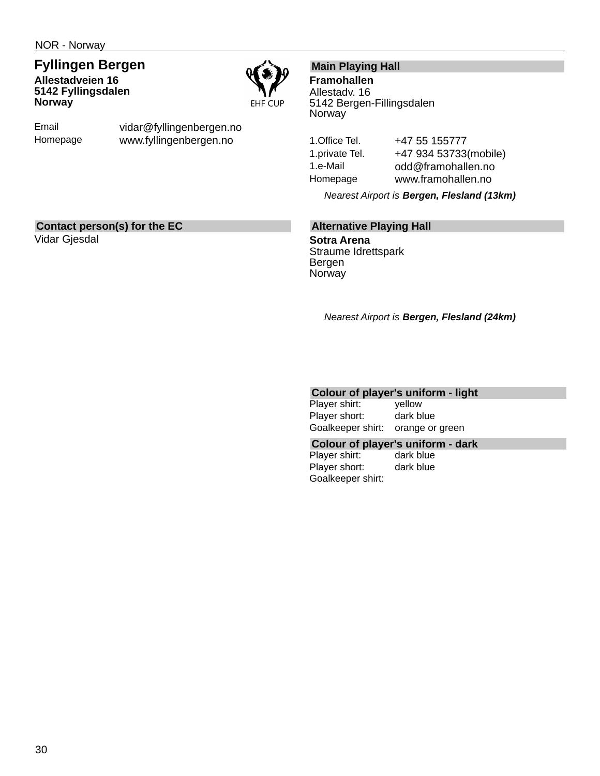## **Fyllingen Bergen Allestadveien 16 5142 Fyllingsdalen Norway**



Email Homepage vidar@fyllingenbergen.no www.fyllingenbergen.no

## **Main Playing Hall**

**Framohallen** Allestadv. 16 5142 Bergen-Fillingsdalen Norway

1. Office Tel. +47 55 155777 1.private Tel. +47 934 53733(mobile) 1.e-Mail odd@framohallen.no Homepage www.framohallen.no

*Nearest Airport is Bergen, Flesland (13km)*

## **Contact person(s) for the EC**

Vidar Gjesdal

### **Alternative Playing Hall**

**Sotra Arena** Straume Idrettspark Bergen **Norway** 

*Nearest Airport is Bergen, Flesland (24km)*

## **Colour of player's uniform - light**

Player shirt: yellow Player short: dark blue Goalkeeper shirt: orange or green

**Colour of player's uniform - dark**

Player shirt: dark blue Player short: dark blue Goalkeeper shirt: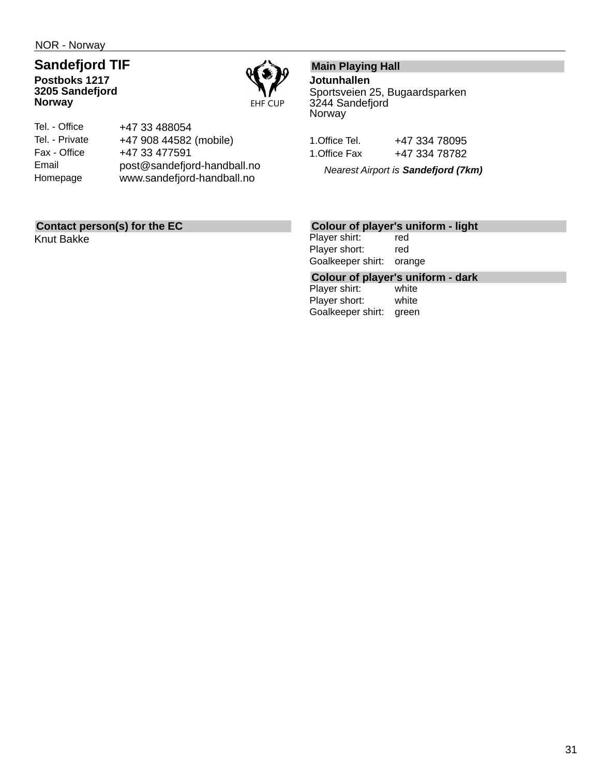NOR - Norway

### **Sandefjord TIF Postboks 1217 3205 Sandefjord Norway**



| Tel. - Office  | +47 33 488054               |
|----------------|-----------------------------|
| Tel. - Private | +47 908 44582 (mobile)      |
| Fax - Office   | +47 33 477591               |
| Email          | post@sandefjord-handball.no |
| Homepage       | www.sandefjord-handball.no  |
|                |                             |

## **Contact person(s) for the EC**

Knut Bakke

## **Main Playing Hall**

**Jotunhallen**

Sportsveien 25, Bugaardsparken 3244 Sandefjord Norway

| 1.Office Tel. | +47 334 78095 |
|---------------|---------------|
| 1.Office Fax  | +47 334 78782 |

*Nearest Airport is Sandefjord (7km)*

## **Colour of player's uniform - light**

Player shirt: red Player short: red Goalkeeper shirt: orange

# **Colour of player's uniform - dark**

Player shirt: Player short: white Goalkeeper shirt: green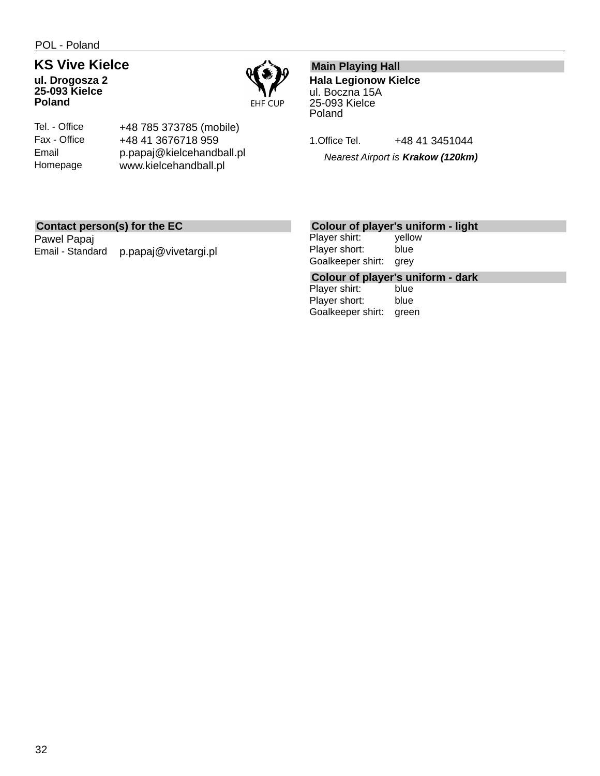POL - Poland

## **KS Vive Kielce**

**ul. Drogosza 2 25-093 Kielce Poland**



Tel. - Office Fax - Office Email Homepage

+48 785 373785 (mobile) +48 41 3676718 959 p.papaj@kielcehandball.pl www.kielcehandball.pl

## **Main Playing Hall**

**Hala Legionow Kielce** ul. Boczna 15A 25-093 Kielce Poland

1. Office Tel. +48 41 3451044

*Nearest Airport is Krakow (120km)*

## **Contact person(s) for the EC**

Pawel Papaj Email - Standard p.papaj@vivetargi.pl

## **Colour of player's uniform - light**

Player shirt: yellow Player short: blue Goalkeeper shirt: grey

**Colour of player's uniform - dark**

Player shirt: Player short: blue Goalkeeper shirt: green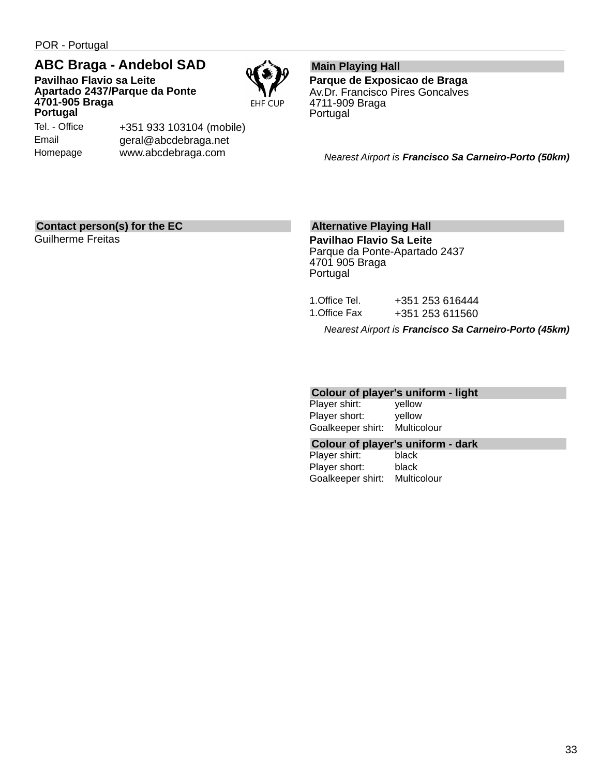POR - Portugal

## **ABC Braga - Andebol SAD**

**Pavilhao Flavio sa Leite Apartado 2437/Parque da Ponte 4701-905 Braga Portugal**

**EHF CUP** 

Tel. - Office Email Homepage

+351 933 103104 (mobile) geral@abcdebraga.net www.abcdebraga.com

#### **Main Playing Hall Parque de Exposicao de Braga** Av.Dr. Francisco Pires Goncalves 4711-909 Braga Portugal

*Nearest Airport is Francisco Sa Carneiro-Porto (50km)*

## **Contact person(s) for the EC**

Guilherme Freitas

## **Alternative Playing Hall**

**Pavilhao Flavio Sa Leite** Parque da Ponte-Apartado 2437 4701 905 Braga Portugal

|               | Nearest Airport is <b>Francisco Sa Carneiro-Porto (45km)</b> |
|---------------|--------------------------------------------------------------|
| 1.Office Fax  | +351 253 611560                                              |
| 1.Office Tel. | +351 253 616444                                              |

#### **Colour of player's uniform - light**

Player shirt: yellow Player short: yellow Goalkeeper shirt: Multicolour

#### **Colour of player's uniform - dark**

Player shirt: black Player short: black Goalkeeper shirt: Multicolour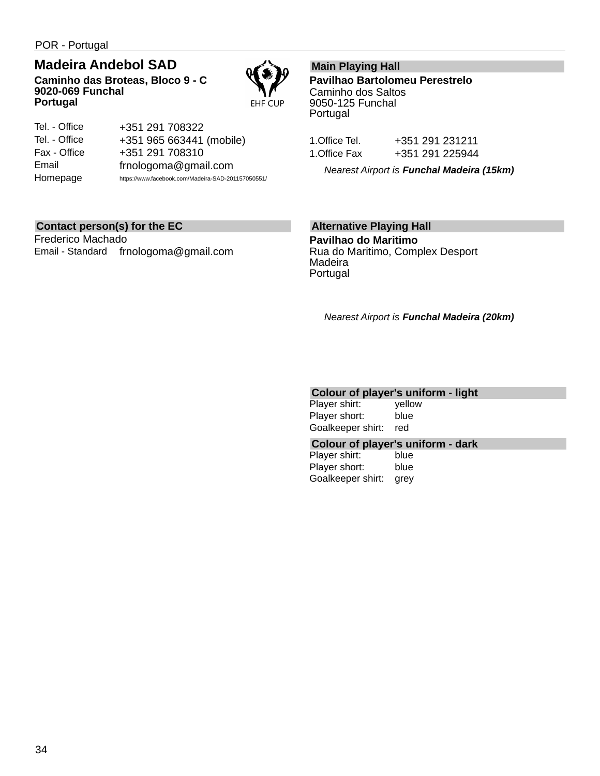POR - Portugal

## **Madeira Andebol SAD**

**Caminho das Broteas, Bloco 9 - C 9020-069 Funchal Portugal**



| Tel. - Office | +351 291 708322                                    |
|---------------|----------------------------------------------------|
| Tel. - Office | +351 965 663441 (mobile)                           |
| Fax - Office  | +351 291 708310                                    |
| Email         | frnologoma@gmail.com                               |
| Homepage      | https://www.facebook.com/Madeira-SAD-201157050551/ |

## **Main Playing Hall**

**Pavilhao Bartolomeu Perestrelo** Caminho dos Saltos 9050-125 Funchal Portugal

| 1.Office Tel. | +351 291 231211 |
|---------------|-----------------|
| 1.Office Fax  | +351 291 225944 |

*Nearest Airport is Funchal Madeira (15km)*

#### **Contact person(s) for the EC**

Frederico Machado Email - Standard frnologoma@gmail.com

## **Alternative Playing Hall**

**Pavilhao do Maritimo** Rua do Maritimo, Complex Desport Madeira Portugal

*Nearest Airport is Funchal Madeira (20km)*

## **Colour of player's uniform - light**

| Player shirt:     | yellow |
|-------------------|--------|
| Player short:     | blue   |
| Goalkeeper shirt: | red    |

#### **Colour of player's uniform - dark**

Player shirt: blue Player short: blue Goalkeeper shirt: grey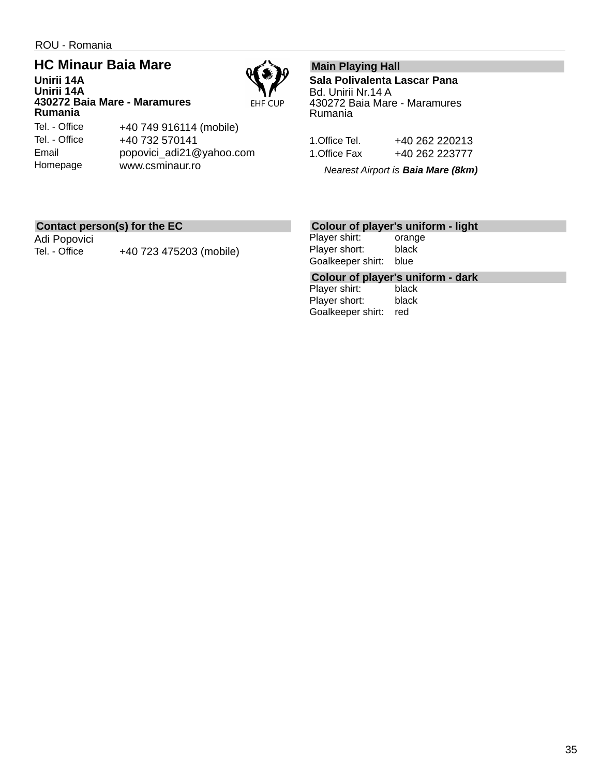**Unirii 14A**

Homepage

## **HC Minaur Baia Mare Unirii 14A**

**EHF CUP** 

**430272 Baia Mare - Maramures Rumania** Tel. - Office Tel. - Office Email

+40 749 916114 (mobile) +40 732 570141 popovici\_adi21@yahoo.com www.csminaur.ro

## **Main Playing Hall**

**Sala Polivalenta Lascar Pana** Bd. Unirii Nr.14 A 430272 Baia Mare - Maramures Rumania

| 1.Office Tel. | +40 262 220213 |
|---------------|----------------|
| 1.Office Fax  | +40 262 223777 |

*Nearest Airport is Baia Mare (8km)*

## **Contact person(s) for the EC**

Adi Popovici

Tel. - Office +40 723 475203 (mobile)

## **Colour of player's uniform - light**

Player shirt: orange Player short: black Goalkeeper shirt: blue

## **Colour of player's uniform - dark**

Player shirt: Player short: black Goalkeeper shirt: red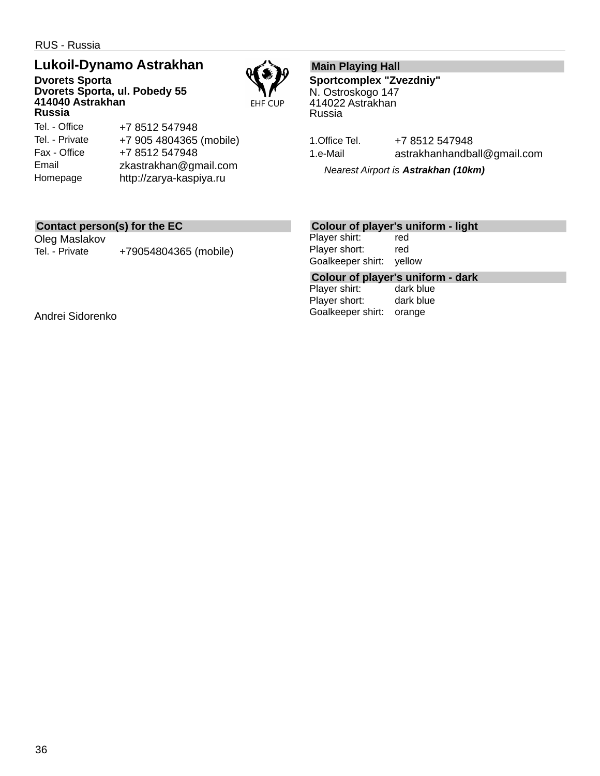RUS - Russia

## **Lukoil-Dynamo Astrakhan**

**Dvorets Sporta Dvorets Sporta, ul. Pobedy 55 414040 Astrakhan Russia**



#### Tel. - Office Tel. - Private Fax - Office Email Homepage +7 8512 547948 +7 905 4804365 (mobile) +7 8512 547948 zkastrakhan@gmail.com http://zarya-kaspiya.ru

## **Main Playing Hall**

**Sportcomplex "Zvezdniy"** N. Ostroskogo 147 414022 Astrakhan Russia

1. Office Tel. +7 8512 547948 1.e-Mail astrakhanhandball@gmail.com

*Nearest Airport is Astrakhan (10km)*

## **Contact person(s) for the EC**

Oleg Maslakov Tel. - Private +79054804365 (mobile)

## **Colour of player's uniform - light**

Player shirt: red Player short: red Goalkeeper shirt: yellow

## **Colour of player's uniform - dark**

Player shirt: Player short: dark blue Goalkeeper shirt: orange

Andrei Sidorenko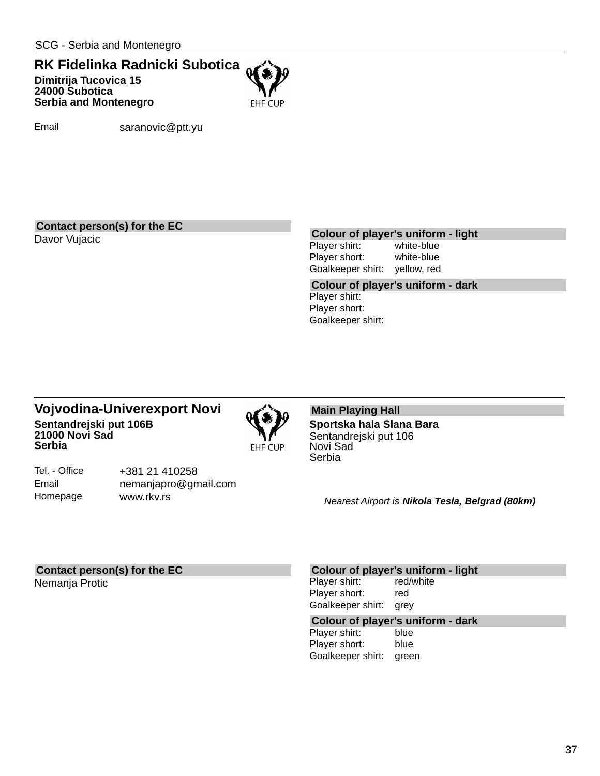## **RK Fidelinka Radnicki Subotica Dimitrija Tucovica 15 24000 Subotica Serbia and Montenegro**



Email saranovic@ptt.yu

#### **Contact person(s) for the EC**

## Davor Vujacic **Colour of player's uniform - light**

Player shirt: Player short: white-blue Goalkeeper shirt: yellow, red

**Colour of player's uniform - dark** Player shirt: Player short: Goalkeeper shirt:

## **Vojvodina-Univerexport Novi Sentandrejski put 106B 21000 Novi Sad Serbia**



Tel. - Office Email Homepage

+381 21 410258 nemanjapro@gmail.com www.rkv.rs

#### **Main Playing Hall Sportska hala Slana Bara** Sentandrejski put 106 Novi Sad Serbia

*Nearest Airport is Nikola Tesla, Belgrad (80km)*

#### **Contact person(s) for the EC**

Nemanja Protic

#### **Colour of player's uniform - light**

Player shirt: red/white Player short: red Goalkeeper shirt: grey

## **Colour of player's uniform - dark**

Player shirt: Player short: blue Goalkeeper shirt: green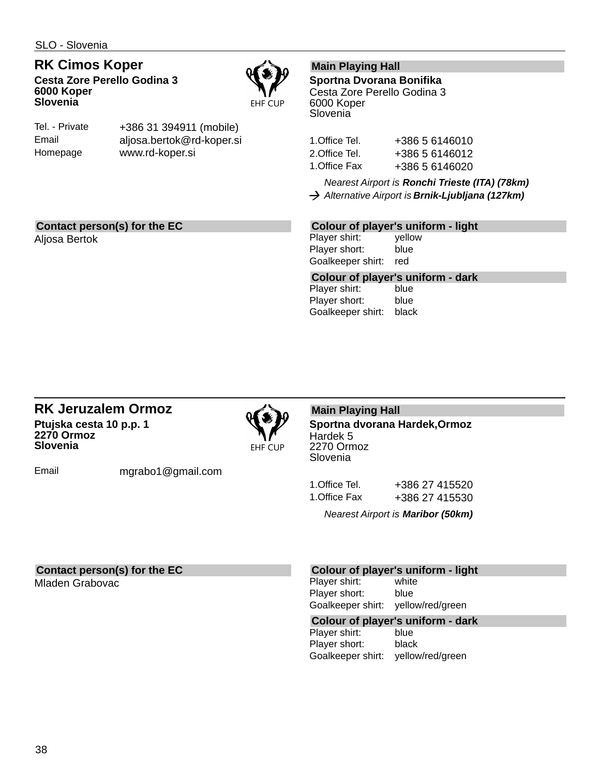SLO - Slovenia

**RK Cimos Koper Cesta Zore Perello Godina 3 6000 Koper Slovenia**



| Tel. - Private | +386 31 394911 (mobile)   |
|----------------|---------------------------|
| Email          | aljosa.bertok@rd-koper.si |
| Homepage       | www.rd-koper.si           |

## **Main Playing Hall**

**Sportna Dvorana Bonifika** Cesta Zore Perello Godina 3 6000 Koper **Slovenia** 

| 1.Office Tel. | +386 5 6146010 |
|---------------|----------------|
| 2.Office Tel. | +386 5 6146012 |
| 1.Office Fax  | +386 5 6146020 |

*Nearest Airport is Ronchi Trieste (ITA) (78km) Alternative Airport is Brnik-Ljubljana (127km)*

## **Contact person(s) for the EC**

Aljosa Bertok

## **Colour of player's uniform - light**

Player shirt: yellow Player short: blue Goalkeeper shirt: red

**Colour of player's uniform - dark**

Player shirt: Player short: blue Goalkeeper shirt: black

### **RK Jeruzalem Ormoz Ptujska cesta 10 p.p. 1 2270 Ormoz Slovenia**



**Main Playing Hall**

**Sportna dvorana Hardek,Ormoz** Hardek 5 2270 Ormoz Slovenia

Email mgrabo1@gmail.com

1.Office Tel. +386 27 415520 1.Office Fax +386 27 415530

*Nearest Airport is Maribor (50km)*

## **Contact person(s) for the EC**

Mladen Grabovac

#### **Colour of player's uniform - light**

Player shirt: white Player short: blue Goalkeeper shirt: yellow/red/green

## **Colour of player's uniform - dark**

Player shirt: Player short: black Goalkeeper shirt: yellow/red/green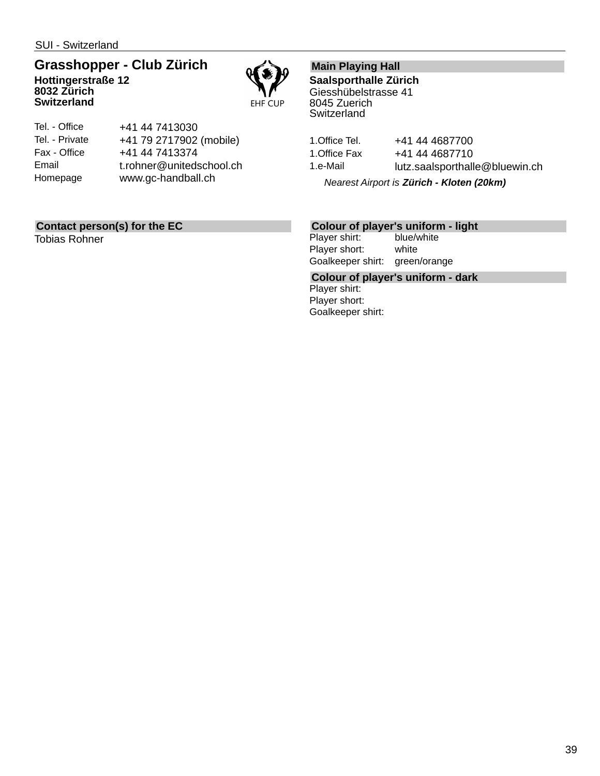SUI - Switzerland

**Switzerland**

## **Grasshopper - Club Zürich Hottingerstraße 12 8032 Zürich**



| Tel. - Office  | +41 44 7413030           |
|----------------|--------------------------|
| Tel. - Private | +41 79 2717902 (mobile)  |
| Fax - Office   | +41 44 7413374           |
| Email          | t.rohner@unitedschool.ch |
| Homepage       | www.gc-handball.ch       |
|                |                          |

## **Contact person(s) for the EC**

Tobias Rohner

## **Main Playing Hall**

**Saalsporthalle Zürich** Giesshübelstrasse 41 8045 Zuerich **Switzerland** 

1. Office Tel. +41 44 4687700 1. Office Fax +41 44 4687710 1.e-Mail lutz.saalsporthalle@bluewin.ch

*Nearest Airport is Zürich - Kloten (20km)*

## **Colour of player's uniform - light**

Player shirt: Player short: white Goalkeeper shirt: green/orange

**Colour of player's uniform - dark** Player shirt: Player short: Goalkeeper shirt: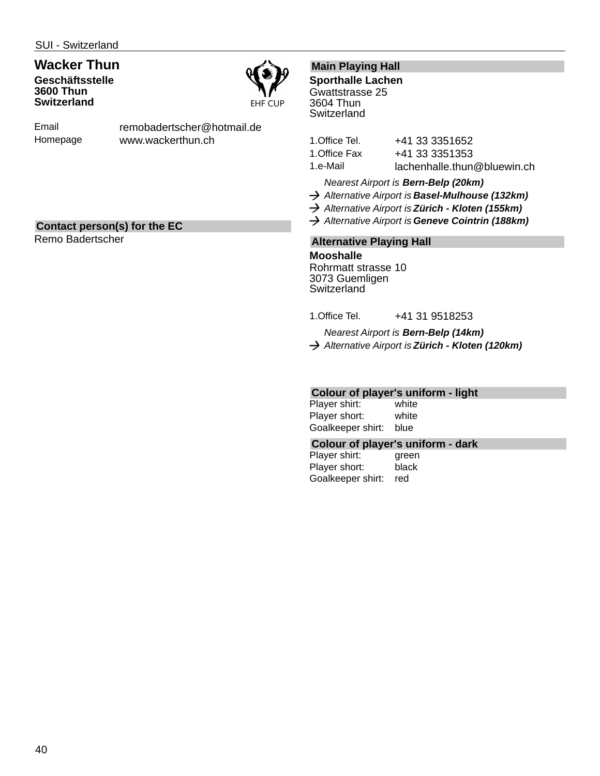## **Wacker Thun Geschäftsstelle 3600 Thun Switzerland**



Email Homepage remobadertscher@hotmail.de www.wackerthun.ch

## **Contact person(s) for the EC**

Remo Badertscher

## **Main Playing Hall**

**Sporthalle Lachen** Gwattstrasse 25 3604 Thun **Switzerland** 

| 1.Office Tel. | +41 33 3351652              |
|---------------|-----------------------------|
| 1.Office Fax  | +41 33 3351353              |
| 1.e-Mail      | lachenhalle.thun@bluewin.ch |

*Nearest Airport is Bern-Belp (20km)*

- *Alternative Airport is Basel-Mulhouse (132km)*
- *Alternative Airport is Zürich Kloten (155km)*
- *Alternative Airport is Geneve Cointrin (188km)*

### **Alternative Playing Hall**

**Mooshalle** Rohrmatt strasse 10 3073 Guemligen **Switzerland** 

1.Office Tel. +41 31 9518253

*Nearest Airport is Bern-Belp (14km)*

*Alternative Airport is Zürich - Kloten (120km)*

## **Colour of player's uniform - light**

Player shirt: white Player short: white Goalkeeper shirt: blue

#### **Colour of player's uniform - dark**

Player shirt: green Player short: black Goalkeeper shirt: red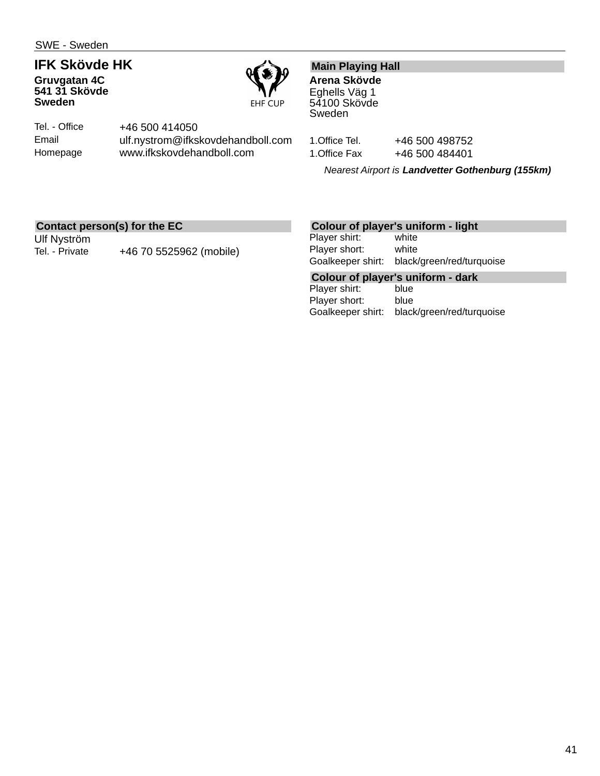# **IFK Skövde HK**

**Gruvgatan 4C 541 31 Skövde Sweden**



Tel. - Office Email Homepage +46 500 414050 ulf.nystrom@ifkskovdehandboll.com www.ifkskovdehandboll.com

## **Main Playing Hall**

**Arena Skövde** Eghells Väg 1 54100 Skövde Sweden

1. Office Tel. +46 500 498752

1. Office Fax +46 500 484401

*Nearest Airport is Landvetter Gothenburg (155km)*

## **Contact person(s) for the EC**

Ulf Nyström

Tel. - Private +46 70 5525962 (mobile)

## **Colour of player's uniform - light**

Player shirt: white Player short: white Goalkeeper shirt: black/green/red/turquoise

**Colour of player's uniform - dark**

Player shirt: Player short: blue Goalkeeper shirt: black/green/red/turquoise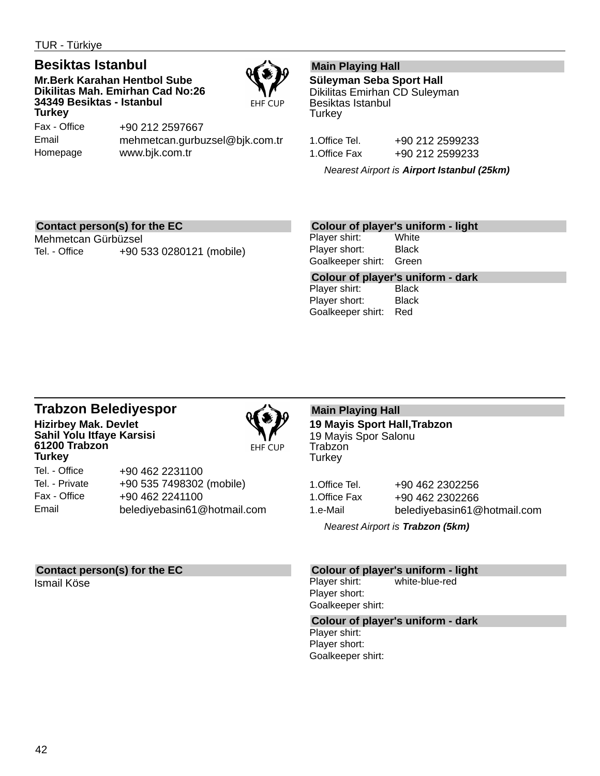TUR - Türkiye

## **Besiktas Istanbul**

**Mr.Berk Karahan Hentbol Sube Dikilitas Mah. Emirhan Cad No:26 34349 Besiktas - Istanbul Turkey**



Fax - Office Email Homepage +90 212 2597667 mehmetcan.gurbuzsel@bjk.com.tr www.bjk.com.tr

## **Main Playing Hall**

**Süleyman Seba Sport Hall** Dikilitas Emirhan CD Suleyman Besiktas Istanbul **Turkey** 

| 1.Office Tel. | +90 212 2599233 |
|---------------|-----------------|
| 1.Office Fax  | +90 212 2599233 |

*Nearest Airport is Airport Istanbul (25km)*

### **Contact person(s) for the EC**

Mehmetcan Gürbüzsel Tel. - Office +90 533 0280121 (mobile)

### **Colour of player's uniform - light**

Player shirt: White Player short: Black Goalkeeper shirt: Green

**Colour of player's uniform - dark** Player shirt: Player short: Black Goalkeeper shirt: Red

### **Trabzon Belediyespor Hizirbey Mak. Devlet Sahil Yolu Itfaye Karsisi 61200 Trabzon Turkey**



**EHF CUP** 

Tel. - Office Tel. - Private Fax - Office Email +90 462 2231100 +90 535 7498302 (mobile) +90 462 2241100 belediyebasin61@hotmail.com

## **Contact person(s) for the EC**

Ismail Köse

## **Main Playing Hall**

**19 Mayis Sport Hall,Trabzon** 19 Mayis Spor Salonu Trabzon **Turkey** 

1.Office Tel. +90 462 2302256 1.Office Fax +90 462 2302266

1.e-Mail belediyebasin61@hotmail.com

*Nearest Airport is Trabzon (5km)*

### **Colour of player's uniform - light**

Player shirt: white-blue-red Player short: Goalkeeper shirt:

#### **Colour of player's uniform - dark**

Player shirt: Player short: Goalkeeper shirt: